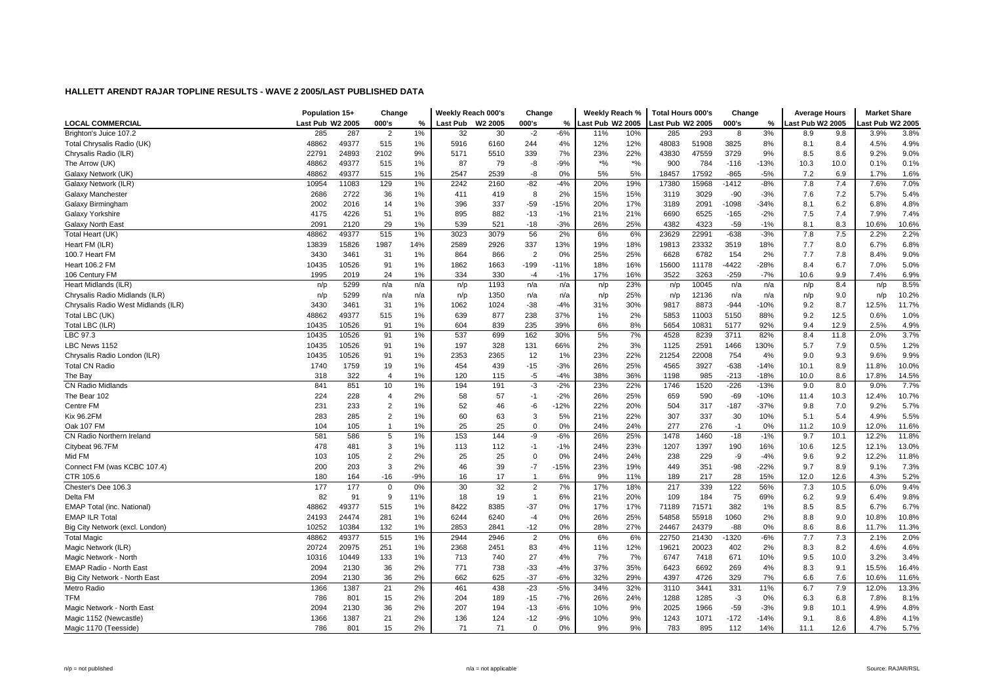|                                     | Population 15+   |       | Change         |       | Weekly Reach 000's |         | Change         |        | Weekly Reach %   |       | <b>Total Hours 000's</b> |       | Change  |        | <b>Average Hours</b> |         | <b>Market Share</b> |       |
|-------------------------------------|------------------|-------|----------------|-------|--------------------|---------|----------------|--------|------------------|-------|--------------------------|-------|---------|--------|----------------------|---------|---------------------|-------|
| LOCAL COMMERCIAL                    | Last Pub W2 2005 |       | 000's          | ℅     | Last Pub           | W2 2005 | 000's          | %      | Last Pub W2 2005 |       | Last Pub W2 2005         |       | 000's   | %      | Last Pub W2 2005     |         | ast Pub W2 2005     |       |
| Brighton's Juice 107.2              | 285              | 287   | 2              | 1%    | 32                 | 30      | $-2$           | $-6%$  | 11%              | 10%   | 285                      | 293   | 8       | 3%     | 8.9                  | 9.8     | 3.9%                | 3.8%  |
| Total Chrysalis Radio (UK)          | 48862            | 49377 | 515            | 1%    | 5916               | 6160    | 244            | 4%     | 12%              | 12%   | 48083                    | 51908 | 3825    | 8%     | 8.1                  | 8.4     | 4.5%                | 4.9%  |
| Chrysalis Radio (ILR)               | 22791            | 24893 | 2102           | 9%    | 5171               | 5510    | 339            | 7%     | 23%              | 22%   | 43830                    | 47559 | 3729    | 9%     | 8.5                  | 8.6     | 9.2%                | 9.0%  |
| The Arrow (UK)                      | 48862            | 49377 | 515            | 1%    | 87                 | 79      | -8             | $-9%$  | $*9/6$           | $*$ % | 900                      | 784   | $-116$  | $-13%$ | 10.3                 | 10.0    | 0.1%                | 0.1%  |
| Galaxy Network (UK)                 | 48862            | 49377 | 515            | 1%    | 2547               | 2539    | -8             | 0%     | 5%               | 5%    | 18457                    | 17592 | $-865$  | $-5%$  | 7.2                  | 6.9     | 1.7%                | 1.6%  |
| Galaxy Network (ILR)                | 10954            | 11083 | 129            | 1%    | 2242               | 2160    | $-82$          | $-4%$  | 20%              | 19%   | 17380                    | 15968 | -1412   | $-8%$  | 7.8                  | 7.4     | 7.6%                | 7.0%  |
| Galaxy Manchester                   | 2686             | 2722  | 36             | 1%    | 411                | 419     | 8              | 2%     | 15%              | 15%   | 3119                     | 3029  | $-90$   | $-3%$  | 7.6                  | 7.2     | 5.7%                | 5.4%  |
| Galaxy Birmingham                   | 2002             | 2016  | 14             | 1%    | 396                | 337     | $-59$          | $-15%$ | 20%              | 17%   | 3189                     | 2091  | -1098   | $-34%$ | 8.1                  | 6.2     | 6.8%                | 4.8%  |
| Galaxy Yorkshire                    | 4175             | 4226  | 51             | 1%    | 895                | 882     | $-13$          | $-1%$  | 21%              | 21%   | 6690                     | 6525  | $-165$  | $-2%$  | 7.5                  | 7.4     | 7.9%                | 7.4%  |
| <b>Galaxy North East</b>            | 2091             | 2120  | 29             | 1%    | 539                | 521     | $-18$          | $-3%$  | 26%              | 25%   | 4382                     | 4323  | $-59$   | $-1%$  | 8.1                  | 8.3     | 10.6%               | 10.6% |
| Total Heart (UK)                    | 48862            | 49377 | 515            | 1%    | 3023               | 3079    | 56             | 2%     | 6%               | 6%    | 23629                    | 22991 | $-638$  | $-3%$  | 7.8                  | $7.5\,$ | 2.2%                | 2.2%  |
| Heart FM (ILR)                      | 13839            | 15826 | 1987           | 14%   | 2589               | 2926    | 337            | 13%    | 19%              | 18%   | 19813                    | 23332 | 3519    | 18%    | 7.7                  | 8.0     | 6.7%                | 6.8%  |
| 100.7 Heart FM                      | 3430             | 3461  | 31             | 1%    | 864                | 866     | $\overline{2}$ | 0%     | 25%              | 25%   | 6628                     | 6782  | 154     | 2%     | 7.7                  | 7.8     | 8.4%                | 9.0%  |
| <b>Heart 106.2 FM</b>               | 10435            | 10526 | 91             | 1%    | 1862               | 1663    | $-199$         | $-11%$ | 18%              | 16%   | 15600                    | 11178 | $-4422$ | $-28%$ | 8.4                  | 6.7     | 7.0%                | 5.0%  |
| 106 Century FM                      | 1995             | 2019  | 24             | 1%    | 334                | 330     | $-4$           | $-1%$  | 17%              | 16%   | 3522                     | 3263  | $-259$  | $-7%$  | 10.6                 | 9.9     | 7.4%                | 6.9%  |
| Heart Midlands (ILR)                | n/p              | 5299  | n/a            | n/a   | n/p                | 1193    | n/a            | n/a    | n/p              | 23%   | n/p                      | 10045 | n/a     | n/a    | n/p                  | 8.4     | n/p                 | 8.5%  |
| Chrysalis Radio Midlands (ILR)      | n/p              | 5299  | n/a            | n/a   | n/p                | 1350    | n/a            | n/a    | n/p              | 25%   | n/p                      | 12136 | n/a     | n/a    | n/p                  | 9.0     | n/p                 | 10.2% |
| Chrysalis Radio West Midlands (ILR) | 3430             | 3461  | 31             | 1%    | 1062               | 1024    | $-38$          | $-4%$  | 31%              | 30%   | 9817                     | 8873  | $-944$  | $-10%$ | 9.2                  | 8.7     | 12.5%               | 11.7% |
| Total LBC (UK)                      | 48862            | 49377 | 515            | 1%    | 639                | 877     | 238            | 37%    | 1%               | 2%    | 5853                     | 11003 | 5150    | 88%    | 9.2                  | 12.5    | 0.6%                | 1.0%  |
| Total LBC (ILR)                     | 10435            | 10526 | 91             | 1%    | 604                | 839     | 235            | 39%    | 6%               | 8%    | 5654                     | 10831 | 5177    | 92%    | 9.4                  | 12.9    | 2.5%                | 4.9%  |
| LBC 97.3                            | 10435            | 10526 | 91             | 1%    | 537                | 699     | 162            | 30%    | 5%               | 7%    | 4528                     | 8239  | 3711    | 82%    | 8.4                  | 11.8    | 2.0%                | 3.7%  |
| LBC News 1152                       | 10435            | 10526 | 91             | 1%    | 197                | 328     | 131            | 66%    | 2%               | 3%    | 1125                     | 2591  | 1466    | 130%   | 5.7                  | 7.9     | 0.5%                | 1.2%  |
| Chrysalis Radio London (ILR)        | 10435            | 10526 | 91             | 1%    | 2353               | 2365    | 12             | 1%     | 23%              | 22%   | 21254                    | 22008 | 754     | 4%     | 9.0                  | 9.3     | 9.6%                | 9.9%  |
| <b>Total CN Radio</b>               | 1740             | 1759  | 19             | 1%    | 454                | 439     | $-15$          | $-3%$  | 26%              | 25%   | 4565                     | 3927  | $-638$  | $-14%$ | 10.1                 | 8.9     | 11.8%               | 10.0% |
| The Bay                             | 318              | 322   | $\overline{4}$ | 1%    | 120                | 115     | -5             | $-4%$  | 38%              | 36%   | 1198                     | 985   | $-213$  | $-18%$ | 10.0                 | 8.6     | 17.8%               | 14.5% |
| <b>CN Radio Midlands</b>            | 841              | 851   | 10             | 1%    | 194                | 191     | -3             | $-2%$  | 23%              | 22%   | 1746                     | 1520  | $-226$  | $-13%$ | 9.0                  | 8.0     | 9.0%                | 7.7%  |
| The Bear 102                        | 224              | 228   | 4              | 2%    | 58                 | 57      | $-1$           | $-2%$  | 26%              | 25%   | 659                      | 590   | $-69$   | $-10%$ | 11.4                 | 10.3    | 12.4%               | 10.7% |
| Centre FM                           | 231              | 233   | 2              | 1%    | 52                 | 46      | -6             | $-12%$ | 22%              | 20%   | 504                      | 317   | $-187$  | $-37%$ | 9.8                  | 7.0     | 9.2%                | 5.7%  |
| <b>Kix 96.2FM</b>                   | 283              | 285   | $\overline{2}$ | 1%    | 60                 | 63      | 3              | 5%     | 21%              | 22%   | 307                      | 337   | 30      | 10%    | 5.1                  | 5.4     | 4.9%                | 5.5%  |
| Oak 107 FM                          | 104              | 105   | $\overline{1}$ | 1%    | 25                 | 25      | $\mathbf 0$    | 0%     | 24%              | 24%   | 277                      | 276   | $-1$    | 0%     | 11.2                 | 10.9    | 12.0%               | 11.6% |
| CN Radio Northern Ireland           | 581              | 586   | 5              | 1%    | 153                | 144     | -9             | $-6%$  | 26%              | 25%   | 1478                     | 1460  | $-18$   | $-1%$  | 9.7                  | 10.1    | 12.2%               | 11.8% |
| Citybeat 96.7FM                     | 478              | 481   | 3              | 1%    | 113                | 112     | -1             | $-1%$  | 24%              | 23%   | 1207                     | 1397  | 190     | 16%    | 10.6                 | 12.5    | 12.1%               | 13.0% |
| Mid FM                              | 103              | 105   | $\sqrt{2}$     | 2%    | 25                 | 25      | $\mathbf 0$    | 0%     | 24%              | 24%   | 238                      | 229   | -9      | $-4%$  | 9.6                  | 9.2     | 12.2%               | 11.8% |
| Connect FM (was KCBC 107.4)         | 200              | 203   | 3              | 2%    | 46                 | 39      | $-7$           | $-15%$ | 23%              | 19%   | 449                      | 351   | $-98$   | $-22%$ | 9.7                  | 8.9     | 9.1%                | 7.3%  |
| CTR 105.6                           | 180              | 164   | -16            | $-9%$ | 16                 | 17      | $\overline{1}$ | 6%     | 9%               | 11%   | 189                      | 217   | 28      | 15%    | 12.0                 | 12.6    | 4.3%                | 5.2%  |
| Chester's Dee 106.3                 | 177              | 177   | $\mathbf 0$    | 0%    | 30                 | 32      | $\overline{2}$ | 7%     | 17%              | 18%   | 217                      | 339   | 122     | 56%    | 7.3                  | 10.5    | 6.0%                | 9.4%  |
| Delta FM                            | 82               | 91    | 9              | 11%   | 18                 | 19      | $\overline{1}$ | 6%     | 21%              | 20%   | 109                      | 184   | 75      | 69%    | 6.2                  | 9.9     | 6.4%                | 9.8%  |
| <b>EMAP Total (inc. National)</b>   | 48862            | 49377 | 515            | 1%    | 8422               | 8385    | $-37$          | 0%     | 17%              | 17%   | 71189                    | 71571 | 382     | $1\%$  | 8.5                  | 8.5     | 6.7%                | 6.7%  |
| <b>EMAP ILR Total</b>               | 24193            | 24474 | 281            | 1%    | 6244               | 6240    | $-4$           | 0%     | 26%              | 25%   | 54858                    | 55918 | 1060    | 2%     | 8.8                  | 9.0     | 10.8%               | 10.8% |
| Big City Network (excl. London)     | 10252            | 10384 | 132            | 1%    | 2853               | 2841    | $-12$          | 0%     | 28%              | 27%   | 24467                    | 24379 | $-88$   | 0%     | 8.6                  | 8.6     | 11.7%               | 11.3% |
| <b>Total Magic</b>                  | 48862            | 49377 | 515            | 1%    | 2944               | 2946    | $\overline{2}$ | 0%     | 6%               | 6%    | 22750                    | 21430 | $-1320$ | $-6%$  | 7.7                  | 7.3     | 2.1%                | 2.0%  |
| Magic Network (ILR)                 | 20724            | 20975 | 251            | 1%    | 2368               | 2451    | 83             | 4%     | 11%              | 12%   | 19621                    | 20023 | 402     | 2%     | 8.3                  | 8.2     | 4.6%                | 4.6%  |
| Magic Network - North               | 10316            | 10449 | 133            | 1%    | 713                | 740     | 27             | 4%     | 7%               | 7%    | 6747                     | 7418  | 671     | 10%    | 9.5                  | 10.0    | 3.2%                | 3.4%  |
| EMAP Radio - North East             | 2094             | 2130  | 36             | 2%    | 771                | 738     | $-33$          | $-4%$  | 37%              | 35%   | 6423                     | 6692  | 269     | 4%     | 8.3                  | 9.1     | 15.5%               | 16.4% |
| Big City Network - North East       | 2094             | 2130  | 36             | 2%    | 662                | 625     | $-37$          | $-6%$  | 32%              | 29%   | 4397                     | 4726  | 329     | 7%     | 6.6                  | 7.6     | 10.6%               | 11.6% |
| Metro Radio                         | 1366             | 1387  | 21             | 2%    | 461                | 438     | $-23$          | $-5%$  | 34%              | 32%   | 3110                     | 3441  | 331     | 11%    | 6.7                  | 7.9     | 12.0%               | 13.3% |
| <b>TFM</b>                          | 786              | 801   | 15             | 2%    | 204                | 189     | $-15$          | $-7%$  | 26%              | 24%   | 1288                     | 1285  | $-3$    | 0%     | 6.3                  | 6.8     | 7.8%                | 8.1%  |
| Magic Network - North East          | 2094             | 2130  | 36             | 2%    | 207                | 194     | $-13$          | $-6%$  | 10%              | 9%    | 2025                     | 1966  | $-59$   | $-3%$  | 9.8                  | 10.1    | 4.9%                | 4.8%  |
| Magic 1152 (Newcastle)              | 1366             | 1387  | 21             | 2%    | 136                | 124     | $-12$          | $-9%$  | 10%              | 9%    | 1243                     | 1071  | $-172$  | $-14%$ | 9.1                  | 8.6     | 4.8%                | 4.1%  |
| Magic 1170 (Teesside)               | 786              | 801   | 15             | 2%    | 71                 | 71      | $\Omega$       | 0%     | 9%               | 9%    | 783                      | 895   | 112     | 14%    | 11.1                 | 12.6    | 4.7%                | 5.7%  |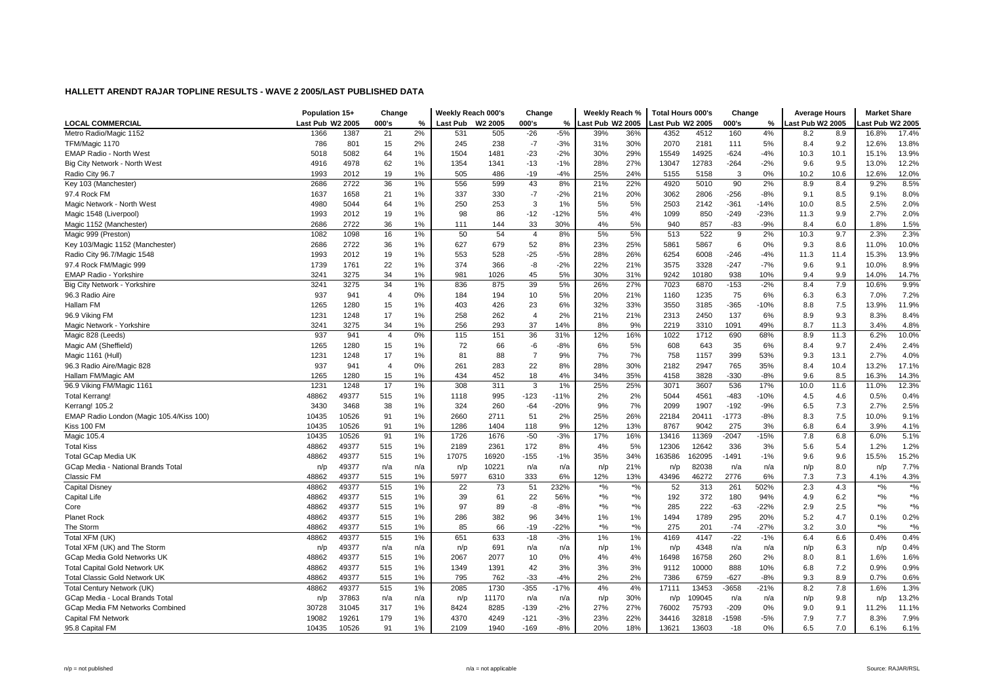|                                          | Population 15+   |       | Change         |     | Weekly Reach 000's |         | Change         |        | Weekly Reach %   |               | <b>Total Hours 000's</b> |        | Change  |        | <b>Average Hours</b> |      | <b>Market Share</b> |                               |
|------------------------------------------|------------------|-------|----------------|-----|--------------------|---------|----------------|--------|------------------|---------------|--------------------------|--------|---------|--------|----------------------|------|---------------------|-------------------------------|
| <b>LOCAL COMMERCIAL</b>                  | Last Pub W2 2005 |       | 000's          | %   | <b>Last Pub</b>    | W2 2005 | 000's          | %      | Last Pub W2 2005 |               | ast Pub W2 2005          |        | 000's   | %      | Last Pub W2 2005     |      | ast Pub W2 2005     |                               |
| Metro Radio/Magic 1152                   | 1366             | 1387  | 21             | 2%  | 531                | 505     | $-26$          | $-5%$  | 39%              | 36%           | 4352                     | 4512   | 160     | 4%     | 8.2                  | 8.9  | 16.8%               | 17.4%                         |
| TFM/Magic 1170                           | 786              | 801   | 15             | 2%  | 245                | 238     | $-7$           | $-3%$  | 31%              | 30%           | 2070                     | 2181   | 111     | 5%     | 8.4                  | 9.2  | 12.6%               | 13.8%                         |
| <b>EMAP Radio - North West</b>           | 5018             | 5082  | 64             | 1%  | 1504               | 1481    | $-23$          | $-2%$  | 30%              | 29%           | 15549                    | 14925  | $-624$  | $-4%$  | 10.3                 | 10.1 | 15.1%               | 13.9%                         |
| Big City Network - North West            | 4916             | 4978  | 62             | 1%  | 1354               | 1341    | $-13$          | $-1%$  | 28%              | 27%           | 13047                    | 12783  | $-264$  | $-2%$  | 9.6                  | 9.5  | 13.0%               | 12.2%                         |
| Radio City 96.7                          | 1993             | 2012  | 19             | 1%  | 505                | 486     | $-19$          | $-4%$  | 25%              | 24%           | 5155                     | 5158   | 3       | 0%     | 10.2                 | 10.6 | 12.6%               | 12.0%                         |
| Key 103 (Manchester)                     | 2686             | 2722  | 36             | 1%  | 556                | 599     | 43             | 8%     | 21%              | 22%           | 4920                     | 5010   | 90      | 2%     | 8.9                  | 8.4  | 9.2%                | 8.5%                          |
| 97.4 Rock FM                             | 1637             | 1658  | 21             | 1%  | 337                | 330     | $-7$           | $-2%$  | 21%              | 20%           | 3062                     | 2806   | $-256$  | $-8%$  | 9.1                  | 8.5  | 9.1%                | 8.0%                          |
| Magic Network - North West               | 4980             | 5044  | 64             | 1%  | 250                | 253     | 3              | 1%     | 5%               | 5%            | 2503                     | 2142   | $-361$  | $-14%$ | 10.0                 | 8.5  | 2.5%                | 2.0%                          |
| Magic 1548 (Liverpool)                   | 1993             | 2012  | 19             | 1%  | 98                 | 86      | $-12$          | $-12%$ | 5%               | 4%            | 1099                     | 850    | $-249$  | $-23%$ | 11.3                 | 9.9  | 2.7%                | 2.0%                          |
| Magic 1152 (Manchester)                  | 2686             | 2722  | 36             | 1%  | 111                | 144     | 33             | 30%    | 4%               | 5%            | 940                      | 857    | $-83$   | $-9%$  | 8.4                  | 6.0  | 1.8%                | 1.5%                          |
| Magic 999 (Preston)                      | 1082             | 1098  | 16             | 1%  | 50                 | 54      | $\overline{4}$ | 8%     | 5%               | 5%            | 513                      | 522    | 9       | 2%     | 10.3                 | 9.7  | 2.3%                | 2.3%                          |
| Key 103/Magic 1152 (Manchester)          | 2686             | 2722  | 36             | 1%  | 627                | 679     | 52             | 8%     | 23%              | 25%           | 5861                     | 5867   | 6       | 0%     | 9.3                  | 8.6  | 11.0%               | 10.0%                         |
| Radio City 96.7/Magic 1548               | 1993             | 2012  | 19             | 1%  | 553                | 528     | $-25$          | $-5%$  | 28%              | 26%           | 6254                     | 6008   | $-246$  | $-4%$  | 11.3                 | 11.4 | 15.3%               | 13.9%                         |
| 97.4 Rock FM/Magic 999                   | 1739             | 1761  | 22             | 1%  | 374                | 366     | -8             | $-2%$  | 22%              | 21%           | 3575                     | 3328   | $-247$  | $-7%$  | 9.6                  | 9.1  | 10.0%               | 8.9%                          |
| EMAP Radio - Yorkshire                   | 3241             | 3275  | 34             | 1%  | 981                | 1026    | 45             | 5%     | 30%              | 31%           | 9242                     | 10180  | 938     | 10%    | 9.4                  | 9.9  | 14.0%               | 14.7%                         |
| Big City Network - Yorkshire             | 3241             | 3275  | 34             | 1%  | 836                | 875     | 39             | 5%     | 26%              | 27%           | 7023                     | 6870   | $-153$  | $-2%$  | 8.4                  | 7.9  | 10.6%               | 9.9%                          |
| 96.3 Radio Aire                          | 937              | 941   | $\overline{4}$ | 0%  | 184                | 194     | 10             | 5%     | 20%              | 21%           | 1160                     | 1235   | 75      | 6%     | 6.3                  | 6.3  | 7.0%                | 7.2%                          |
| Hallam FM                                | 1265             | 1280  | 15             | 1%  | 403                | 426     | 23             | 6%     | 32%              | 33%           | 3550                     | 3185   | $-365$  | $-10%$ | 8.8                  | 7.5  | 13.9%               | 11.9%                         |
| 96.9 Viking FM                           | 1231             | 1248  | 17             | 1%  | 258                | 262     | $\overline{4}$ | 2%     | 21%              | 21%           | 2313                     | 2450   | 137     | 6%     | 8.9                  | 9.3  | 8.3%                | 8.4%                          |
| Magic Network - Yorkshire                | 3241             | 3275  | 34             | 1%  | 256                | 293     | 37             | 14%    | 8%               | 9%            | 2219                     | 3310   | 1091    | 49%    | 8.7                  | 11.3 | 3.4%                | 4.8%                          |
| Magic 828 (Leeds)                        | 937              | 941   | $\overline{4}$ | 0%  | 115                | 151     | 36             | 31%    | 12%              | 16%           | 1022                     | 1712   | 690     | 68%    | 8.9                  | 11.3 | 6.2%                | 10.0%                         |
| Magic AM (Sheffield)                     | 1265             | 1280  | 15             | 1%  | 72                 | 66      | -6             | $-8%$  | 6%               | 5%            | 608                      | 643    | 35      | 6%     | 8.4                  | 9.7  | 2.4%                | 2.4%                          |
| Magic 1161 (Hull)                        | 1231             | 1248  | 17             | 1%  | 81                 | 88      | $\overline{7}$ | 9%     | 7%               | 7%            | 758                      | 1157   | 399     | 53%    | 9.3                  | 13.1 | 2.7%                | 4.0%                          |
| 96.3 Radio Aire/Magic 828                | 937              | 941   | $\overline{4}$ | 0%  | 261                | 283     | 22             | 8%     | 28%              | 30%           | 2182                     | 2947   | 765     | 35%    | 8.4                  | 10.4 | 13.2%               | 17.1%                         |
| Hallam FM/Magic AM                       | 1265             | 1280  | 15             | 1%  | 434                | 452     | 18             | 4%     | 34%              | 35%           | 4158                     | 3828   | $-330$  | $-8%$  | 9.6                  | 8.5  | 16.3%               | 14.3%                         |
| 96.9 Viking FM/Magic 1161                | 1231             | 1248  | 17             | 1%  | 308                | 311     | 3              | 1%     | 25%              | 25%           | 3071                     | 3607   | 536     | 17%    | 10.0                 | 11.6 | 11.0%               | 12.3%                         |
| <b>Total Kerrang!</b>                    | 48862            | 49377 | 515            | 1%  | 1118               | 995     | $-123$         | $-11%$ | 2%               | 2%            | 5044                     | 4561   | $-483$  | $-10%$ | 4.5                  | 4.6  | 0.5%                | 0.4%                          |
| Kerrang! 105.2                           | 3430             | 3468  | 38             | 1%  | 324                | 260     | $-64$          | $-20%$ | 9%               | 7%            | 2099                     | 1907   | $-192$  | $-9%$  | 6.5                  | 7.3  | 2.7%                | 2.5%                          |
| EMAP Radio London (Magic 105.4/Kiss 100) | 10435            | 10526 | 91             | 1%  | 2660               | 2711    | 51             | 2%     | 25%              | 26%           | 22184                    | 20411  | $-1773$ | $-8%$  | 8.3                  | 7.5  | 10.0%               | 9.1%                          |
| Kiss 100 FM                              | 10435            | 10526 | 91             | 1%  | 1286               | 1404    | 118            | 9%     | 12%              | 13%           | 8767                     | 9042   | 275     | 3%     | 6.8                  | 6.4  | 3.9%                | 4.1%                          |
| Magic 105.4                              | 10435            | 10526 | 91             | 1%  | 1726               | 1676    | $-50$          | $-3%$  | 17%              | 16%           | 13416                    | 11369  | $-2047$ | $-15%$ | 7.8                  | 6.8  | 6.0%                | 5.1%                          |
| <b>Total Kiss</b>                        | 48862            | 49377 | 515            | 1%  | 2189               | 2361    | 172            | 8%     | 4%               | 5%            | 12306                    | 12642  | 336     | 3%     | 5.6                  | 5.4  | 1.2%                | 1.2%                          |
| Total GCap Media UK                      | 48862            | 49377 | 515            | 1%  | 17075              | 16920   | $-155$         | $-1%$  | 35%              | 34%           | 163586                   | 162095 | $-1491$ | $-1%$  | 9.6                  | 9.6  | 15.5%               | 15.2%                         |
| GCap Media - National Brands Total       | n/p              | 49377 | n/a            | n/a | n/p                | 10221   | n/a            | n/a    | n/p              | 21%           | n/p                      | 82038  | n/a     | n/a    | n/p                  | 8.0  | n/p                 | 7.7%                          |
| <b>Classic FM</b>                        | 48862            | 49377 | 515            | 1%  | 5977               | 6310    | 333            | 6%     | 12%              | 13%           | 43496                    | 46272  | 2776    | 6%     | 7.3                  | 7.3  | 4.1%                | 4.3%                          |
| <b>Capital Disney</b>                    | 48862            | 49377 | 515            | 1%  | 22                 | 73      | 51             | 232%   | $*9/6$           | $*$ %         | 52                       | 313    | 261     | 502%   | 2.3                  | 4.3  | $*9/0$              | $*$ %                         |
| Capital Life                             | 48862            | 49377 | 515            | 1%  | 39                 | 61      | 22             | 56%    | $\frac{1}{6}$    | $*9/0$        | 192                      | 372    | 180     | 94%    | 4.9                  | 6.2  | $*9/6$              | $^{*0/6}$                     |
| Core                                     | 48862            | 49377 | 515            | 1%  | 97                 | 89      | -8             | $-8%$  | *%               | $*$ %         | 285                      | 222    | $-63$   | $-22%$ | 2.9                  | 2.5  | $*9/6$              | $*$ %                         |
| <b>Planet Rock</b>                       | 48862            | 49377 | 515            | 1%  | 286                | 382     | 96             | 34%    | 1%               | 1%            | 1494                     | 1789   | 295     | 20%    | 5.2                  | 4.7  | 0.1%                | 0.2%                          |
| The Storm                                | 48862            | 49377 | 515            | 1%  | 85                 | 66      | $-19$          | $-22%$ | $^{\star}$ %     | $\frac{1}{2}$ | 275                      | 201    | $-74$   | $-27%$ | 3.2                  | 3.0  | $*9/6$              | $\ast{\mathsf{o}}\!/_{\!\!0}$ |
| Total XFM (UK)                           | 48862            | 49377 | 515            | 1%  | 651                | 633     | $-18$          | $-3%$  | 1%               | 1%            | 4169                     | 4147   | $-22$   | $-1%$  | 6.4                  | 6.6  | 0.4%                | 0.4%                          |
| Total XFM (UK) and The Storm             | n/p              | 49377 | n/a            | n/a | n/p                | 691     | n/a            | n/a    | n/p              | 1%            | n/p                      | 4348   | n/a     | n/a    | n/p                  | 6.3  | n/p                 | 0.4%                          |
| GCap Media Gold Networks UK              | 48862            | 49377 | 515            | 1%  | 2067               | 2077    | 10             | 0%     | 4%               | 4%            | 16498                    | 16758  | 260     | 2%     | 8.0                  | 8.1  | 1.6%                | 1.6%                          |
| <b>Total Capital Gold Network UK</b>     | 48862            | 49377 | 515            | 1%  | 1349               | 1391    | 42             | 3%     | 3%               | 3%            | 9112                     | 10000  | 888     | 10%    | 6.8                  | 7.2  | 0.9%                | 0.9%                          |
| <b>Total Classic Gold Network UK</b>     | 48862            | 49377 | 515            | 1%  | 795                | 762     | $-33$          | $-4%$  | 2%               | 2%            | 7386                     | 6759   | $-627$  | $-8%$  | 9.3                  | 8.9  | 0.7%                | 0.6%                          |
| Total Century Network (UK)               | 48862            | 49377 | 515            | 1%  | 2085               | 1730    | $-355$         | $-17%$ | 4%               | 4%            | 17111                    | 13453  | 3658    | $-21%$ | 8.2                  | 7.8  | 1.6%                | 1.3%                          |
| GCap Media - Local Brands Total          | n/p              | 37863 | n/a            | n/a | n/p                | 11170   | n/a            | n/a    | n/p              | 30%           | n/p                      | 109045 | n/a     | n/a    | n/p                  | 9.8  | n/p                 | 13.2%                         |
| GCap Media FM Networks Combined          | 30728            | 31045 | 317            | 1%  | 8424               | 8285    | $-139$         | $-2%$  | 27%              | 27%           | 76002                    | 75793  | $-209$  | 0%     | 9.0                  | 9.1  | 11.2%               | 11.1%                         |
| <b>Capital FM Network</b>                | 19082            | 19261 | 179            | 1%  | 4370               | 4249    | $-121$         | $-3%$  | 23%              | 22%           | 34416                    | 32818  | $-1598$ | $-5%$  | 7.9                  | 7.7  | 8.3%                | 7.9%                          |
| 95.8 Capital FM                          | 10435            | 10526 | 91             | 1%  | 2109               | 1940    | $-169$         | $-8%$  | 20%              | 18%           | 13621                    | 13603  | $-18$   | 0%     | 6.5                  | 7.0  | 6.1%                | 6.1%                          |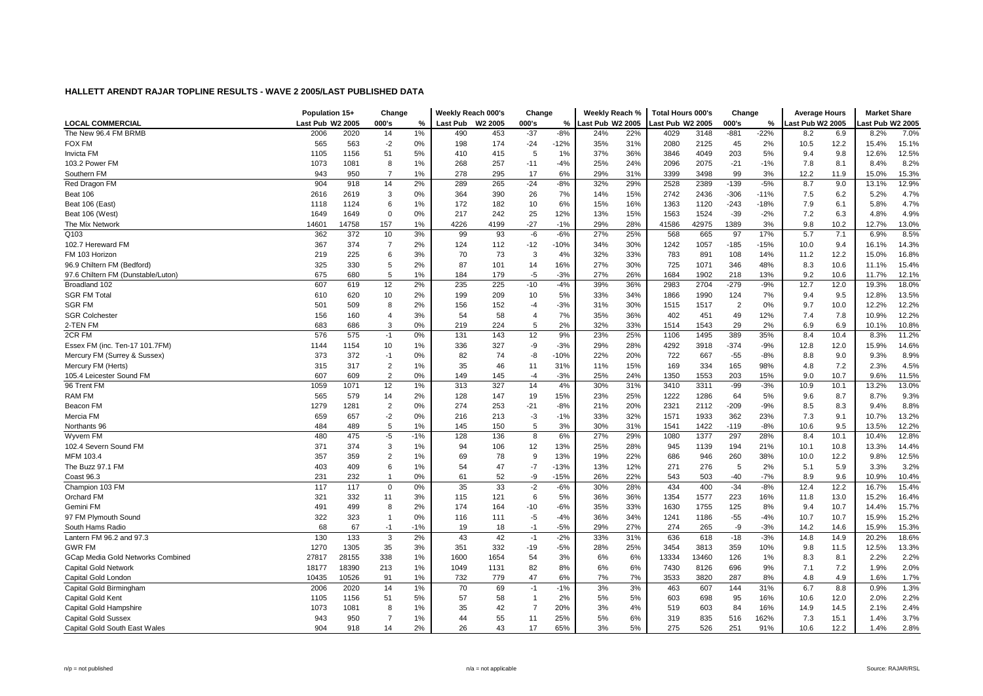|                                    | Population 15+   |       | Change         |       | Weekly Reach 000's |                     | Change         |        | Weekly Reach %   |     | <b>Total Hours 000's</b> |       | Change         |        | <b>Average Hours</b> |      | <b>Market Share</b> |       |
|------------------------------------|------------------|-------|----------------|-------|--------------------|---------------------|----------------|--------|------------------|-----|--------------------------|-------|----------------|--------|----------------------|------|---------------------|-------|
| <b>LOCAL COMMERCIAL</b>            | Last Pub W2 2005 |       | 000's          | %     | <b>Last Pub</b>    | W <sub>2</sub> 2005 | 000's          | %      | Last Pub W2 2005 |     | Last Pub W2 2005         |       | 000's          | %      | ast Pub W2 2005      |      | ast Pub W2 2005     |       |
| The New 96.4 FM BRMB               | 2006             | 2020  | 14             | 1%    | 490                | 453                 | $-37$          | $-8%$  | 24%              | 22% | 4029                     | 3148  | $-881$         | $-22%$ | 8.2                  | 6.9  | 8.2%                | 7.0%  |
| <b>FOX FM</b>                      | 565              | 563   | $-2$           | 0%    | 198                | 174                 | $-24$          | $-12%$ | 35%              | 31% | 2080                     | 2125  | 45             | 2%     | 10.5                 | 12.2 | 15.4%               | 15.1% |
| <b>Invicta FM</b>                  | 1105             | 1156  | 51             | 5%    | 410                | 415                 | 5              | 1%     | 37%              | 36% | 3846                     | 4049  | 203            | 5%     | 9.4                  | 9.8  | 12.6%               | 12.5% |
| 103.2 Power FM                     | 1073             | 1081  | 8              | 1%    | 268                | 257                 | $-11$          | $-4%$  | 25%              | 24% | 2096                     | 2075  | $-21$          | $-1%$  | 7.8                  | 8.1  | 8.4%                | 8.2%  |
| Southern FM                        | 943              | 950   | $\overline{7}$ | 1%    | 278                | 295                 | 17             | 6%     | 29%              | 31% | 3399                     | 3498  | 99             | 3%     | 12.2                 | 11.9 | 15.0%               | 15.3% |
| Red Dragon FM                      | 904              | 918   | 14             | 2%    | 289                | 265                 | $-24$          | $-8%$  | 32%              | 29% | 2528                     | 2389  | $-139$         | $-5%$  | 8.7                  | 9.0  | 13.1%               | 12.9% |
| Beat 106                           | 2616             | 2619  | 3              | 0%    | 364                | 390                 | 26             | 7%     | 14%              | 15% | 2742                     | 2436  | $-306$         | $-11%$ | 7.5                  | 6.2  | 5.2%                | 4.7%  |
| Beat 106 (East)                    | 1118             | 1124  | 6              | 1%    | 172                | 182                 | 10             | 6%     | 15%              | 16% | 1363                     | 1120  | $-243$         | $-18%$ | 7.9                  | 6.1  | 5.8%                | 4.7%  |
| Beat 106 (West)                    | 1649             | 1649  | $\mathbf 0$    | 0%    | 217                | 242                 | 25             | 12%    | 13%              | 15% | 1563                     | 1524  | $-39$          | $-2%$  | 7.2                  | 6.3  | 4.8%                | 4.9%  |
| The Mix Network                    | 14601            | 14758 | 157            | 1%    | 4226               | 4199                | $-27$          | $-1%$  | 29%              | 28% | 41586                    | 42975 | 1389           | 3%     | 9.8                  | 10.2 | 12.7%               | 13.0% |
| Q103                               | 362              | 372   | 10             | 3%    | 99                 | 93                  | -6             | $-6%$  | 27%              | 25% | 568                      | 665   | 97             | 17%    | 5.7                  | 7.1  | 6.9%                | 8.5%  |
| 102.7 Hereward FM                  | 367              | 374   | $\overline{7}$ | 2%    | 124                | 112                 | $-12$          | $-10%$ | 34%              | 30% | 1242                     | 1057  | $-185$         | $-15%$ | 10.0                 | 9.4  | 16.1%               | 14.3% |
| FM 103 Horizon                     | 219              | 225   | 6              | 3%    | 70                 | 73                  | 3              | 4%     | 32%              | 33% | 783                      | 891   | 108            | 14%    | 11.2                 | 12.2 | 15.0%               | 16.8% |
| 96.9 Chiltern FM (Bedford)         | 325              | 330   | 5              | 2%    | 87                 | 101                 | 14             | 16%    | 27%              | 30% | 725                      | 1071  | 346            | 48%    | 8.3                  | 10.6 | 11.1%               | 15.4% |
| 97.6 Chiltern FM (Dunstable/Luton) | 675              | 680   | 5              | 1%    | 184                | 179                 | -5             | $-3%$  | 27%              | 26% | 1684                     | 1902  | 218            | 13%    | 9.2                  | 10.6 | 11.7%               | 12.1% |
| Broadland 102                      | 607              | 619   | 12             | 2%    | 235                | 225                 | $-10$          | $-4%$  | 39%              | 36% | 2983                     | 2704  | $-279$         | $-9%$  | 12.7                 | 12.0 | 19.3%               | 18.0% |
| <b>SGR FM Total</b>                | 610              | 620   | 10             | 2%    | 199                | 209                 | 10             | 5%     | 33%              | 34% | 1866                     | 1990  | 124            | 7%     | 9.4                  | 9.5  | 12.8%               | 13.5% |
| <b>SGR FM</b>                      | 501              | 509   | 8              | 2%    | 156                | 152                 | $-4$           | $-3%$  | 31%              | 30% | 1515                     | 1517  | $\overline{2}$ | 0%     | 9.7                  | 10.0 | 12.2%               | 12.2% |
| <b>SGR Colchester</b>              | 156              | 160   | $\overline{4}$ | 3%    | 54                 | 58                  | $\overline{4}$ | 7%     | 35%              | 36% | 402                      | 451   | 49             | 12%    | 7.4                  | 7.8  | 10.9%               | 12.2% |
| 2-TEN FM                           | 683              | 686   | 3              | 0%    | 219                | 224                 | 5              | 2%     | 32%              | 33% | 1514                     | 1543  | 29             | 2%     | 6.9                  | 6.9  | 10.1%               | 10.8% |
| 2CR FM                             | 576              | 575   | $-1$           | 0%    | 131                | 143                 | 12             | 9%     | 23%              | 25% | 1106                     | 1495  | 389            | 35%    | 8.4                  | 10.4 | 8.3%                | 11.2% |
| Essex FM (inc. Ten-17 101.7FM)     | 1144             | 1154  | 10             | 1%    | 336                | 327                 | -9             | $-3%$  | 29%              | 28% | 4292                     | 3918  | $-374$         | $-9%$  | 12.8                 | 12.0 | 15.9%               | 14.6% |
| Mercury FM (Surrey & Sussex)       | 373              | 372   | $-1$           | 0%    | 82                 | 74                  | -8             | $-10%$ | 22%              | 20% | 722                      | 667   | $-55$          | $-8%$  | 8.8                  | 9.0  | 9.3%                | 8.9%  |
| Mercury FM (Herts)                 | 315              | 317   | 2              | 1%    | 35                 | 46                  | 11             | 31%    | 11%              | 15% | 169                      | 334   | 165            | 98%    | 4.8                  | 7.2  | 2.3%                | 4.5%  |
| 105.4 Leicester Sound FM           | 607              | 609   | $\overline{2}$ | 0%    | 149                | 145                 | -4             | $-3%$  | 25%              | 24% | 1350                     | 1553  | 203            | 15%    | 9.0                  | 10.7 | 9.6%                | 11.5% |
| 96 Trent FM                        | 1059             | 1071  | 12             | 1%    | 313                | 327                 | 14             | 4%     | 30%              | 31% | 3410                     | 3311  | -99            | $-3%$  | 10.9                 | 10.1 | 13.2%               | 13.0% |
| <b>RAM FM</b>                      | 565              | 579   | 14             | 2%    | 128                | 147                 | 19             | 15%    | 23%              | 25% | 1222                     | 1286  | 64             | 5%     | 9.6                  | 8.7  | 8.7%                | 9.3%  |
| Beacon FM                          | 1279             | 1281  | $\overline{2}$ | 0%    | 274                | 253                 | $-21$          | $-8%$  | 21%              | 20% | 2321                     | 2112  | $-209$         | $-9%$  | 8.5                  | 8.3  | 9.4%                | 8.8%  |
| Mercia FM                          | 659              | 657   | $-2$           | 0%    | 216                | 213                 | -3             | $-1%$  | 33%              | 32% | 1571                     | 1933  | 362            | 23%    | 7.3                  | 9.1  | 10.7%               | 13.2% |
| Northants 96                       | 484              | 489   | 5              | 1%    | 145                | 150                 | 5              | 3%     | 30%              | 31% | 1541                     | 1422  | $-119$         | $-8%$  | 10.6                 | 9.5  | 13.5%               | 12.2% |
| Wyvern FM                          | 480              | 475   | $-5$           | $-1%$ | 128                | 136                 | 8              | 6%     | 27%              | 29% | 1080                     | 1377  | 297            | 28%    | 8.4                  | 10.1 | 10.4%               | 12.8% |
| 102.4 Severn Sound FM              | 371              | 374   | 3              | 1%    | 94                 | 106                 | 12             | 13%    | 25%              | 28% | 945                      | 1139  | 194            | 21%    | 10.1                 | 10.8 | 13.3%               | 14.4% |
| MFM 103.4                          | 357              | 359   | $\overline{2}$ | 1%    | 69                 | 78                  | 9              | 13%    | 19%              | 22% | 686                      | 946   | 260            | 38%    | 10.0                 | 12.2 | 9.8%                | 12.5% |
| The Buzz 97.1 FM                   | 403              | 409   | 6              | 1%    | 54                 | 47                  | $-7$           | $-13%$ | 13%              | 12% | 271                      | 276   | 5              | 2%     | 5.1                  | 5.9  | 3.3%                | 3.2%  |
| Coast 96.3                         | 231              | 232   | $\mathbf{1}$   | 0%    | 61                 | 52                  | -9             | $-15%$ | 26%              | 22% | 543                      | 503   | $-40$          | $-7%$  | 8.9                  | 9.6  | 10.9%               | 10.4% |
| Champion 103 FM                    | 117              | 117   | $\mathbf 0$    | 0%    | 35                 | 33                  | $-2$           | $-6%$  | 30%              | 28% | 434                      | 400   | $-34$          | $-8%$  | 12.4                 | 12.2 | 16.7%               | 15.4% |
| Orchard FM                         | 321              | 332   | 11             | 3%    | 115                | 121                 | 6              | 5%     | 36%              | 36% | 1354                     | 1577  | 223            | 16%    | 11.8                 | 13.0 | 15.2%               | 16.4% |
| Gemini FM                          | 491              | 499   | 8              | 2%    | 174                | 164                 | $-10$          | $-6%$  | 35%              | 33% | 1630                     | 1755  | 125            | 8%     | 9.4                  | 10.7 | 14.4%               | 15.7% |
| 97 FM Plymouth Sound               | 322              | 323   | $\mathbf{1}$   | 0%    | 116                | 111                 | -5             | $-4%$  | 36%              | 34% | 1241                     | 1186  | $-55$          | $-4%$  | 10.7                 | 10.7 | 15.9%               | 15.2% |
| South Hams Radio                   | 68               | 67    | $-1$           | $-1%$ | 19                 | 18                  | $-1$           | $-5%$  | 29%              | 27% | 274                      | 265   | -9             | $-3%$  | 14.2                 | 14.6 | 15.9%               | 15.3% |
| Lantern FM 96.2 and 97.3           | 130              | 133   | 3              | 2%    | 43                 | 42                  | $-1$           | $-2%$  | 33%              | 31% | 636                      | 618   | $-18$          | $-3%$  | 14.8                 | 14.9 | 20.2%               | 18.6% |
| <b>GWR FM</b>                      | 1270             | 1305  | 35             | 3%    | 351                | 332                 | $-19$          | $-5%$  | 28%              | 25% | 3454                     | 3813  | 359            | 10%    | 9.8                  | 11.5 | 12.5%               | 13.3% |
| GCap Media Gold Networks Combined  | 27817            | 28155 | 338            | 1%    | 1600               | 1654                | 54             | 3%     | 6%               | 6%  | 13334                    | 13460 | 126            | 1%     | 8.3                  | 8.1  | 2.2%                | 2.2%  |
| <b>Capital Gold Network</b>        | 18177            | 18390 | 213            | 1%    | 1049               | 1131                | 82             | 8%     | 6%               | 6%  | 7430                     | 8126  | 696            | 9%     | 7.1                  | 7.2  | 1.9%                | 2.0%  |
| Capital Gold London                | 10435            | 10526 | 91             | 1%    | 732                | 779                 | 47             | 6%     | 7%               | 7%  | 3533                     | 3820  | 287            | 8%     | 4.8                  | 4.9  | 1.6%                | 1.7%  |
| Capital Gold Birmingham            | 2006             | 2020  | 14             | 1%    | 70                 | 69                  | $-1$           | $-1%$  | 3%               | 3%  | 463                      | 607   | 144            | 31%    | 6.7                  | 8.8  | 0.9%                | 1.3%  |
| Capital Gold Kent                  | 1105             | 1156  | 51             | 5%    | 57                 | 58                  | $\overline{1}$ | 2%     | 5%               | 5%  | 603                      | 698   | 95             | 16%    | 10.6                 | 12.0 | 2.0%                | 2.2%  |
| Capital Gold Hampshire             | 1073             | 1081  | 8              | 1%    | 35                 | 42                  | $\overline{7}$ | 20%    | 3%               | 4%  | 519                      | 603   | 84             | 16%    | 14.9                 | 14.5 | 2.1%                | 2.4%  |
| <b>Capital Gold Sussex</b>         | 943              | 950   | $\overline{7}$ | 1%    | 44                 | 55                  | 11             | 25%    | 5%               | 6%  | 319                      | 835   | 516            | 162%   | 7.3                  | 15.1 | 1.4%                | 3.7%  |
| Capital Gold South East Wales      | 904              | 918   | 14             | 2%    | 26                 | 43                  | 17             | 65%    | 3%               | 5%  | 275                      | 526   | 251            | 91%    | 10.6                 | 12.2 | 1.4%                | 2.8%  |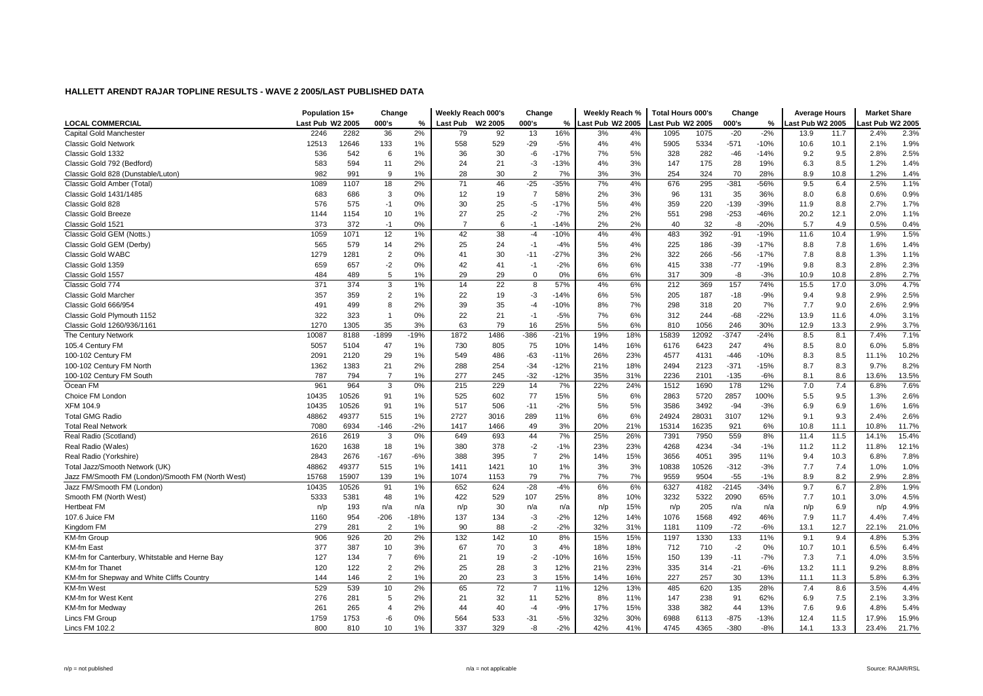|                                                   | Population 15+   |       | Change         |        | Weekly Reach 000's |         | Change         |        | Weekly Reach %   |     | Total Hours 000's |       | Change  |        | <b>Average Hours</b> |      | <b>Market Share</b> |       |
|---------------------------------------------------|------------------|-------|----------------|--------|--------------------|---------|----------------|--------|------------------|-----|-------------------|-------|---------|--------|----------------------|------|---------------------|-------|
| <b>LOCAL COMMERCIAL</b>                           | Last Pub W2 2005 |       | 000's          | %      | Last Pub           | W2 2005 | 000's          | %      | Last Pub W2 2005 |     | ast Pub W2 2005   |       | 000's   | %      | ast Pub W2 2005      |      | ast Pub W2 2005     |       |
| Capital Gold Manchester                           | 2246             | 2282  | 36             | 2%     | 79                 | 92      | 13             | 16%    | 3%               | 4%  | 1095              | 1075  | $-20$   | $-2%$  | 13.9                 | 11.7 | 2.4%                | 2.3%  |
| <b>Classic Gold Network</b>                       | 12513            | 12646 | 133            | 1%     | 558                | 529     | $-29$          | $-5%$  | 4%               | 4%  | 5905              | 5334  | $-571$  | $-10%$ | 10.6                 | 10.1 | 2.1%                | 1.9%  |
| Classic Gold 1332                                 | 536              | 542   | 6              | 1%     | 36                 | 30      | -6             | $-17%$ | 7%               | 5%  | 328               | 282   | $-46$   | $-14%$ | 9.2                  | 9.5  | 2.8%                | 2.5%  |
| Classic Gold 792 (Bedford)                        | 583              | 594   | 11             | 2%     | 24                 | 21      | $-3$           | $-13%$ | 4%               | 3%  | 147               | 175   | 28      | 19%    | 6.3                  | 8.5  | 1.2%                | 1.4%  |
| Classic Gold 828 (Dunstable/Luton)                | 982              | 991   | 9              | 1%     | 28                 | 30      | $\overline{2}$ | 7%     | 3%               | 3%  | 254               | 324   | 70      | 28%    | 8.9                  | 10.8 | 1.2%                | 1.4%  |
| Classic Gold Amber (Total)                        | 1089             | 1107  | 18             | 2%     | 71                 | 46      | $-25$          | $-35%$ | 7%               | 4%  | 676               | 295   | $-381$  | -56%   | 9.5                  | 6.4  | 2.5%                | 1.1%  |
| Classic Gold 1431/1485                            | 683              | 686   | 3              | 0%     | 12                 | 19      | $\overline{7}$ | 58%    | 2%               | 3%  | 96                | 131   | 35      | 36%    | 8.0                  | 6.8  | 0.6%                | 0.9%  |
| Classic Gold 828                                  | 576              | 575   | $-1$           | 0%     | 30                 | 25      | $-5$           | $-17%$ | 5%               | 4%  | 359               | 220   | $-139$  | $-39%$ | 11.9                 | 8.8  | 2.7%                | 1.7%  |
| Classic Gold Breeze                               | 1144             | 1154  | 10             | 1%     | 27                 | 25      | $-2$           | $-7%$  | 2%               | 2%  | 551               | 298   | $-253$  | $-46%$ | 20.2                 | 12.1 | 2.0%                | 1.1%  |
| Classic Gold 1521                                 | 373              | 372   | $-1$           | 0%     | $\overline{7}$     | 6       | $-1$           | $-14%$ | 2%               | 2%  | 40                | 32    | -8      | $-20%$ | 5.7                  | 4.9  | 0.5%                | 0.4%  |
| Classic Gold GEM (Notts.)                         | 1059             | 1071  | 12             | 1%     | 42                 | 38      | $-4$           | $-10%$ | 4%               | 4%  | 483               | 392   | $-91$   | $-19%$ | 11.6                 | 10.4 | 1.9%                | 1.5%  |
| Classic Gold GEM (Derby)                          | 565              | 579   | 14             | 2%     | 25                 | 24      | $-1$           | $-4%$  | 5%               | 4%  | 225               | 186   | $-39$   | $-17%$ | 8.8                  | 7.8  | 1.6%                | 1.4%  |
| Classic Gold WABC                                 | 1279             | 1281  | $\overline{2}$ | 0%     | 41                 | 30      | $-11$          | $-27%$ | 3%               | 2%  | 322               | 266   | $-56$   | $-17%$ | 7.8                  | 8.8  | 1.3%                | 1.1%  |
| Classic Gold 1359                                 | 659              | 657   | $-2$           | 0%     | 42                 | 41      | $-1$           | $-2%$  | 6%               | 6%  | 415               | 338   | $-77$   | $-19%$ | 9.8                  | 8.3  | 2.8%                | 2.3%  |
| Classic Gold 1557                                 | 484              | 489   | 5              | 1%     | 29                 | 29      | $\Omega$       | 0%     | 6%               | 6%  | 317               | 309   | $-8$    | $-3%$  | 10.9                 | 10.8 | 2.8%                | 2.7%  |
| Classic Gold 774                                  | 371              | 374   | 3              | 1%     | 14                 | 22      | 8              | 57%    | 4%               | 6%  | 212               | 369   | 157     | 74%    | 15.5                 | 17.0 | 3.0%                | 4.7%  |
| Classic Gold Marcher                              | 357              | 359   | $\overline{2}$ | 1%     | 22                 | 19      | -3             | $-14%$ | 6%               | 5%  | 205               | 187   | $-18$   | $-9%$  | 9.4                  | 9.8  | 2.9%                | 2.5%  |
| Classic Gold 666/954                              | 491              | 499   | 8              | 2%     | 39                 | 35      | $-4$           | $-10%$ | 8%               | 7%  | 298               | 318   | 20      | 7%     | 7.7                  | 9.0  | 2.6%                | 2.9%  |
| Classic Gold Plymouth 1152                        | 322              | 323   | $\overline{1}$ | 0%     | 22                 | 21      | $-1$           | $-5%$  | 7%               | 6%  | 312               | 244   | $-68$   | $-22%$ | 13.9                 | 11.6 | 4.0%                | 3.1%  |
| Classic Gold 1260/936/1161                        | 1270             | 1305  | 35             | 3%     | 63                 | 79      | 16             | 25%    | 5%               | 6%  | 810               | 1056  | 246     | 30%    | 12.9                 | 13.3 | 2.9%                | 3.7%  |
| The Century Network                               | 10087            | 8188  | $-1899$        | $-19%$ | 1872               | 1486    | $-386$         | $-21%$ | 19%              | 18% | 15839             | 12092 | $-3747$ | $-24%$ | 8.5                  | 8.1  | 7.4%                | 7.1%  |
| 105.4 Century FM                                  | 5057             | 5104  | 47             | 1%     | 730                | 805     | 75             | 10%    | 14%              | 16% | 6176              | 6423  | 247     | 4%     | 8.5                  | 8.0  | 6.0%                | 5.8%  |
| 100-102 Century FM                                | 2091             | 2120  | 29             | 1%     | 549                | 486     | $-63$          | $-11%$ | 26%              | 23% | 4577              | 4131  | $-446$  | $-10%$ | 8.3                  | 8.5  | 11.1%               | 10.2% |
| 100-102 Century FM North                          | 1362             | 1383  | 21             | 2%     | 288                | 254     | $-34$          | $-12%$ | 21%              | 18% | 2494              | 2123  | $-371$  | $-15%$ | 8.7                  | 8.3  | 9.7%                | 8.2%  |
| 100-102 Century FM South                          | 787              | 794   | $\overline{7}$ | 1%     | 277                | 245     | $-32$          | $-12%$ | 35%              | 31% | 2236              | 2101  | $-135$  | $-6%$  | 8.1                  | 8.6  | 13.6%               | 13.5% |
| Ocean FM                                          | 961              | 964   | 3              | 0%     | 215                | 229     | 14             | 7%     | 22%              | 24% | 1512              | 1690  | 178     | 12%    | 7.0                  | 7.4  | 6.8%                | 7.6%  |
| Choice FM London                                  | 10435            | 10526 | 91             | 1%     | 525                | 602     | 77             | 15%    | 5%               | 6%  | 2863              | 5720  | 2857    | 100%   | 5.5                  | 9.5  | 1.3%                | 2.6%  |
| <b>XFM 104.9</b>                                  | 10435            | 10526 | 91             | 1%     | 517                | 506     | $-11$          | $-2%$  | 5%               | 5%  | 3586              | 3492  | -94     | $-3%$  | 6.9                  | 6.9  | 1.6%                | 1.6%  |
| <b>Total GMG Radio</b>                            | 48862            | 49377 | 515            | 1%     | 2727               | 3016    | 289            | 11%    | 6%               | 6%  | 24924             | 28031 | 3107    | 12%    | 9.1                  | 9.3  | 2.4%                | 2.6%  |
| <b>Total Real Network</b>                         | 7080             | 6934  | $-146$         | $-2%$  | 1417               | 1466    | 49             | 3%     | 20%              | 21% | 15314             | 16235 | 921     | 6%     | 10.8                 | 11.1 | 10.8%               | 11.7% |
| Real Radio (Scotland)                             | 2616             | 2619  | 3              | 0%     | 649                | 693     | 44             | 7%     | 25%              | 26% | 7391              | 7950  | 559     | 8%     | 11.4                 | 11.5 | 14.1%               | 15.4% |
| Real Radio (Wales)                                | 1620             | 1638  | 18             | 1%     | 380                | 378     | $-2$           | $-1%$  | 23%              | 23% | 4268              | 4234  | $-34$   | $-1%$  | 11.2                 | 11.2 | 11.8%               | 12.1% |
| Real Radio (Yorkshire)                            | 2843             | 2676  | $-167$         | $-6%$  | 388                | 395     | $\overline{7}$ | 2%     | 14%              | 15% | 3656              | 4051  | 395     | 11%    | 9.4                  | 10.3 | 6.8%                | 7.8%  |
| Total Jazz/Smooth Network (UK)                    | 48862            | 49377 | 515            | 1%     | 1411               | 1421    | 10             | 1%     | 3%               | 3%  | 10838             | 10526 | $-312$  | $-3%$  | 7.7                  | 7.4  | 1.0%                | 1.0%  |
| Jazz FM/Smooth FM (London)/Smooth FM (North West) | 15768            | 15907 | 139            | 1%     | 1074               | 1153    | 79             | 7%     | 7%               | 7%  | 9559              | 9504  | $-55$   | $-1%$  | 8.9                  | 8.2  | 2.9%                | 2.8%  |
| Jazz FM/Smooth FM (London)                        | 10435            | 10526 | 91             | 1%     | 652                | 624     | $-28$          | $-4%$  | 6%               | 6%  | 6327              | 4182  | $-2145$ | $-34%$ | 9.7                  | 6.7  | 2.8%                | 1.9%  |
| Smooth FM (North West)                            | 5333             | 5381  | 48             | 1%     | 422                | 529     | 107            | 25%    | 8%               | 10% | 3232              | 5322  | 2090    | 65%    | 7.7                  | 10.1 | 3.0%                | 4.5%  |
| <b>Hertbeat FM</b>                                | n/p              | 193   | n/a            | n/a    | n/p                | 30      | n/a            | n/a    | n/p              | 15% | n/p               | 205   | n/a     | n/a    | n/p                  | 6.9  | n/p                 | 4.9%  |
| 107.6 Juice FM                                    | 1160             | 954   | $-206$         | $-18%$ | 137                | 134     | $-3$           | $-2%$  | 12%              | 14% | 1076              | 1568  | 492     | 46%    | 7.9                  | 11.7 | 4.4%                | 7.4%  |
| Kingdom FM                                        | 279              | 281   | $\overline{2}$ | 1%     | 90                 | 88      | $-2$           | $-2%$  | 32%              | 31% | 1181              | 1109  | $-72$   | $-6%$  | 13.1                 | 12.7 | 22.1%               | 21.0% |
| KM-fm Group                                       | 906              | 926   | 20             | 2%     | 132                | 142     | 10             | 8%     | 15%              | 15% | 1197              | 1330  | 133     | 11%    | 9.1                  | 9.4  | 4.8%                | 5.3%  |
| KM-fm East                                        | 377              | 387   | 10             | 3%     | 67                 | 70      | 3              | 4%     | 18%              | 18% | 712               | 710   | $-2$    | 0%     | 10.7                 | 10.1 | 6.5%                | 6.4%  |
| KM-fm for Canterbury, Whitstable and Herne Bay    | 127              | 134   | $\overline{7}$ | 6%     | 21                 | 19      | $-2$           | $-10%$ | 16%              | 15% | 150               | 139   | $-11$   | $-7%$  | 7.3                  | 7.1  | 4.0%                | 3.5%  |
| <b>KM-fm for Thanet</b>                           | 120              | 122   | $\overline{2}$ | 2%     | 25                 | 28      | 3              | 12%    | 21%              | 23% | 335               | 314   | $-21$   | $-6%$  | 13.2                 | 11.1 | 9.2%                | 8.8%  |
| KM-fm for Shepway and White Cliffs Country        | 144              | 146   | $\overline{2}$ | 1%     | 20                 | 23      | 3              | 15%    | 14%              | 16% | 227               | 257   | 30      | 13%    | 11.1                 | 11.3 | 5.8%                | 6.3%  |
| KM-fm West                                        | 529              | 539   | 10             | 2%     | 65                 | 72      | $\overline{7}$ | 11%    | 12%              | 13% | 485               | 620   | 135     | 28%    | 7.4                  | 8.6  | 3.5%                | 4.4%  |
| KM-fm for West Kent                               | 276              | 281   | 5              | 2%     | 21                 | 32      | 11             | 52%    | 8%               | 11% | 147               | 238   | 91      | 62%    | 6.9                  | 7.5  | 2.1%                | 3.3%  |
| KM-fm for Medway                                  | 261              | 265   | 4              | 2%     | 44                 | 40      | -4             | $-9%$  | 17%              | 15% | 338               | 382   | 44      | 13%    | 7.6                  | 9.6  | 4.8%                | 5.4%  |
| Lincs FM Group                                    | 1759             | 1753  | -6             | 0%     | 564                | 533     | $-31$          | $-5%$  | 32%              | 30% | 6988              | 6113  | $-875$  | $-13%$ | 12.4                 | 11.5 | 17.9%               | 15.9% |
| Lincs FM 102.2                                    | 800              | 810   | 10             | 1%     | 337                | 329     | -8             | $-2%$  | 42%              | 41% | 4745              | 4365  | $-380$  | $-8%$  | 14.1                 | 13.3 | 23.4%               | 21.7% |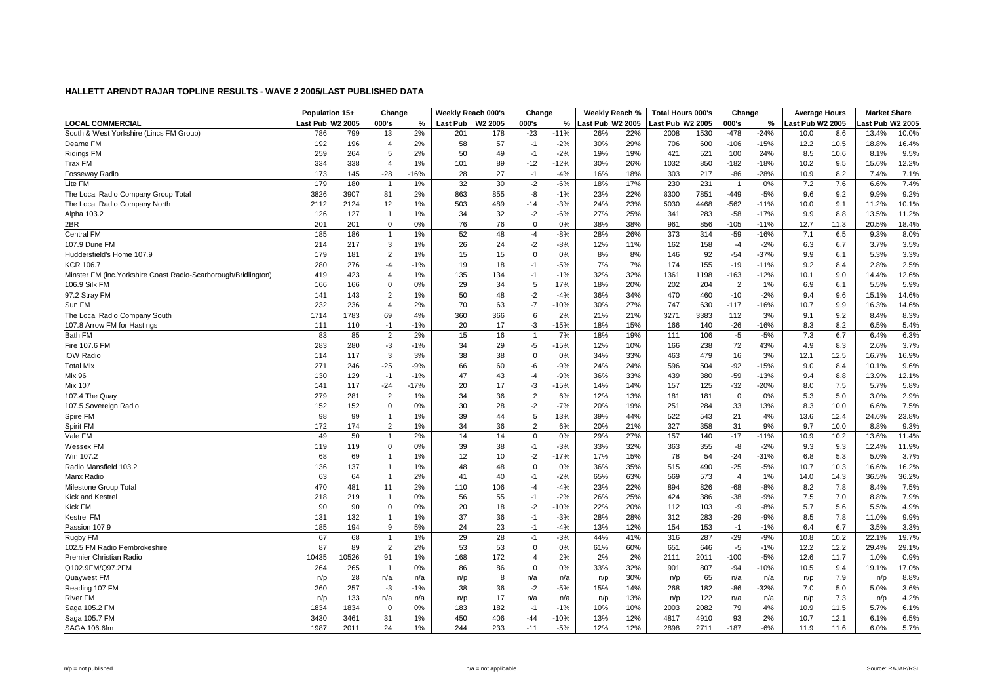|                                                                 | Population 15+   |       | Change                  |        | Weekly Reach 000's |         | Change         |        | Weekly Reach %   |     | <b>Total Hours 000's</b> |      | Change         |        | <b>Average Hours</b> |      | <b>Market Share</b> |       |
|-----------------------------------------------------------------|------------------|-------|-------------------------|--------|--------------------|---------|----------------|--------|------------------|-----|--------------------------|------|----------------|--------|----------------------|------|---------------------|-------|
| <b>LOCAL COMMERCIAL</b>                                         | Last Pub W2 2005 |       | 000's                   | %      | Last Pub           | W2 2005 | 000's          | $\%$   | Last Pub W2 2005 |     | ast Pub W2 2005          |      | 000's          | %      | ast Pub W2 2005      |      | ast Pub W2 2005     |       |
| South & West Yorkshire (Lincs FM Group)                         | 786              | 799   | 13                      | 2%     | 201                | 178     | $-23$          | $-11%$ | 26%              | 22% | 2008                     | 1530 | $-478$         | $-24%$ | 10.0                 | 8.6  | 13.4%               | 10.0% |
| Dearne FM                                                       | 192              | 196   | $\overline{4}$          | 2%     | 58                 | 57      | $-1$           | $-2%$  | 30%              | 29% | 706                      | 600  | $-106$         | $-15%$ | 12.2                 | 10.5 | 18.8%               | 16.4% |
| <b>Ridings FM</b>                                               | 259              | 264   | 5                       | 2%     | 50                 | 49      | $-1$           | $-2%$  | 19%              | 19% | 421                      | 521  | 100            | 24%    | 8.5                  | 10.6 | 8.1%                | 9.5%  |
| Trax FM                                                         | 334              | 338   | $\overline{4}$          | 1%     | 101                | 89      | $-12$          | $-12%$ | 30%              | 26% | 1032                     | 850  | $-182$         | $-18%$ | 10.2                 | 9.5  | 15.6%               | 12.2% |
| <b>Fosseway Radio</b>                                           | 173              | 145   | $-28$                   | 16%    | 28                 | 27      | $-1$           | $-4%$  | 16%              | 18% | 303                      | 217  | $-86$          | $-28%$ | 10.9                 | 8.2  | 7.4%                | 7.1%  |
| Lite FM                                                         | 179              | 180   | $\overline{1}$          | 1%     | 32                 | 30      | $-2$           | $-6%$  | 18%              | 17% | 230                      | 231  | $\overline{1}$ | 0%     | 7.2                  | 7.6  | 6.6%                | 7.4%  |
| The Local Radio Company Group Total                             | 3826             | 3907  | 81                      | 2%     | 863                | 855     | -8             | $-1%$  | 23%              | 22% | 8300                     | 7851 | $-449$         | $-5%$  | 9.6                  | 9.2  | 9.9%                | 9.2%  |
| The Local Radio Company North                                   | 2112             | 2124  | 12                      | 1%     | 503                | 489     | $-14$          | $-3%$  | 24%              | 23% | 5030                     | 4468 | $-562$         | $-11%$ | 10.0                 | 9.1  | 11.2%               | 10.1% |
| Alpha 103.2                                                     | 126              | 127   | $\mathbf{1}$            | 1%     | 34                 | 32      | $-2$           | $-6%$  | 27%              | 25% | 341                      | 283  | $-58$          | $-17%$ | 9.9                  | 8.8  | 13.5%               | 11.2% |
| 2BR                                                             | 201              | 201   | 0                       | 0%     | 76                 | 76      | $\mathbf 0$    | 0%     | 38%              | 38% | 961                      | 856  | $-105$         | $-11%$ | 12.7                 | 11.3 | 20.5%               | 18.4% |
| <b>Central FM</b>                                               | 185              | 186   | $\overline{1}$          | 1%     | 52                 | 48      | $-4$           | $-8%$  | 28%              | 26% | 373                      | 314  | $-59$          | $-16%$ | 7.1                  | 6.5  | 9.3%                | 8.0%  |
| 107.9 Dune FM                                                   | 214              | 217   | 3                       | 1%     | 26                 | 24      | $-2$           | $-8%$  | 12%              | 11% | 162                      | 158  | $-4$           | $-2%$  | 6.3                  | 6.7  | 3.7%                | 3.5%  |
| Huddersfield's Home 107.9                                       | 179              | 181   | $\overline{2}$          | 1%     | 15                 | 15      | $\Omega$       | 0%     | 8%               | 8%  | 146                      | 92   | $-54$          | $-37%$ | 9.9                  | 6.1  | 5.3%                | 3.3%  |
| <b>KCR 106.7</b>                                                | 280              | 276   | $-4$                    | $-1%$  | 19                 | 18      | $-1$           | $-5%$  | 7%               | 7%  | 174                      | 155  | $-19$          | $-11%$ | 9.2                  | 8.4  | 2.8%                | 2.5%  |
| Minster FM (inc. Yorkshire Coast Radio-Scarborough/Bridlington) | 419              | 423   | $\overline{\mathbf{A}}$ | 1%     | 135                | 134     | $-1$           | $-1%$  | 32%              | 32% | 1361                     | 1198 | $-163$         | $-12%$ | 10.1                 | 9.0  | 14.4%               | 12.6% |
| 106.9 Silk FM                                                   | 166              | 166   | $\mathbf 0$             | 0%     | 29                 | 34      | 5              | 17%    | 18%              | 20% | 202                      | 204  | $\overline{2}$ | 1%     | 6.9                  | 6.1  | 5.5%                | 5.9%  |
| 97.2 Stray FM                                                   | 141              | 143   | $\overline{2}$          | 1%     | 50                 | 48      | $-2$           | $-4%$  | 36%              | 34% | 470                      | 460  | $-10$          | $-2%$  | 9.4                  | 9.6  | 15.1%               | 14.6% |
| Sun FM                                                          | 232              | 236   | 4                       | 2%     | 70                 | 63      | $-7$           | $-10%$ | 30%              | 27% | 747                      | 630  | $-117$         | $-16%$ | 10.7                 | 9.9  | 16.3%               | 14.6% |
| The Local Radio Company South                                   | 1714             | 1783  | 69                      | 4%     | 360                | 366     | 6              | 2%     | 21%              | 21% | 3271                     | 3383 | 112            | 3%     | 9.1                  | 9.2  | 8.4%                | 8.3%  |
| 107.8 Arrow FM for Hastings                                     | 111              | 110   | $-1$                    | $-1%$  | 20                 | 17      | $-3$           | $-15%$ | 18%              | 15% | 166                      | 140  | $-26$          | $-16%$ | 8.3                  | 8.2  | 6.5%                | 5.4%  |
| Bath FM                                                         | 83               | 85    | $\overline{2}$          | 2%     | 15                 | 16      | $\overline{1}$ | 7%     | 18%              | 19% | 111                      | 106  | $-5$           | $-5%$  | 7.3                  | 6.7  | 6.4%                | 6.3%  |
| Fire 107.6 FM                                                   | 283              | 280   | -3                      | $-1%$  | 34                 | 29      | $-5$           | $-15%$ | 12%              | 10% | 166                      | 238  | 72             | 43%    | 4.9                  | 8.3  | 2.6%                | 3.7%  |
| <b>IOW Radio</b>                                                | 114              | 117   | 3                       | 3%     | 38                 | 38      | $\Omega$       | 0%     | 34%              | 33% | 463                      | 479  | 16             | 3%     | 12.1                 | 12.5 | 16.7%               | 16.9% |
| <b>Total Mix</b>                                                | 271              | 246   | $-25$                   | $-9%$  | 66                 | 60      | $-6$           | $-9%$  | 24%              | 24% | 596                      | 504  | $-92$          | $-15%$ | 9.0                  | 8.4  | 10.1%               | 9.6%  |
| <b>Mix 96</b>                                                   | 130              | 129   | $-1$                    | $-1%$  | 47                 | 43      | $-4$           | $-9%$  | 36%              | 33% | 439                      | 380  | $-59$          | $-13%$ | 9.4                  | 8.8  | 13.9%               | 12.1% |
| <b>Mix 107</b>                                                  | 141              | 117   | $-24$                   | $-17%$ | 20                 | 17      | -3             | $-15%$ | 14%              | 14% | 157                      | 125  | $-32$          | $-20%$ | 8.0                  | 7.5  | 5.7%                | 5.8%  |
| 107.4 The Quay                                                  | 279              | 281   | $\overline{2}$          | 1%     | 34                 | 36      | $\overline{2}$ | 6%     | 12%              | 13% | 181                      | 181  | $\Omega$       | 0%     | 5.3                  | 5.0  | 3.0%                | 2.9%  |
| 107.5 Sovereign Radio                                           | 152              | 152   | 0                       | 0%     | 30                 | 28      | $-2$           | $-7%$  | 20%              | 19% | 251                      | 284  | 33             | 13%    | 8.3                  | 10.0 | 6.6%                | 7.5%  |
| Spire FM                                                        | 98               | 99    | $\mathbf{1}$            | 1%     | 39                 | 44      | 5              | 13%    | 39%              | 44% | 522                      | 543  | 21             | 4%     | 13.6                 | 12.4 | 24.6%               | 23.8% |
| Spirit FM                                                       | 172              | 174   | $\overline{2}$          | 1%     | 34                 | 36      | $\overline{2}$ | 6%     | 20%              | 21% | 327                      | 358  | 31             | 9%     | 9.7                  | 10.0 | 8.8%                | 9.3%  |
| Vale FM                                                         | 49               | 50    | $\overline{1}$          | 2%     | 14                 | 14      | $\Omega$       | 0%     | 29%              | 27% | 157                      | 140  | $-17$          | $-11%$ | 10.9                 | 10.2 | 13.6%               | 11.4% |
| Wessex FM                                                       | 119              | 119   | 0                       | 0%     | 39                 | 38      | $-1$           | $-3%$  | 33%              | 32% | 363                      | 355  | -8             | $-2%$  | 9.3                  | 9.3  | 12.4%               | 11.9% |
| Win 107.2                                                       | 68               | 69    | $\mathbf{1}$            | 1%     | 12                 | 10      | $-2$           | $-17%$ | 17%              | 15% | 78                       | 54   | $-24$          | $-31%$ | 6.8                  | 5.3  | 5.0%                | 3.7%  |
| Radio Mansfield 103.2                                           | 136              | 137   | $\mathbf{1}$            | 1%     | 48                 | 48      | $\mathbf 0$    | 0%     | 36%              | 35% | 515                      | 490  | $-25$          | $-5%$  | 10.7                 | 10.3 | 16.6%               | 16.2% |
| Manx Radio                                                      | 63               | 64    | $\overline{1}$          | 2%     | 41                 | 40      | $-1$           | $-2%$  | 65%              | 63% | 569                      | 573  | $\overline{4}$ | $1\%$  | 14.0                 | 14.3 | 36.5%               | 36.2% |
| Milestone Group Total                                           | 470              | 481   | 11                      | 2%     | 110                | 106     | $-4$           | $-4%$  | 23%              | 22% | 894                      | 826  | $-68$          | $-8%$  | 8.2                  | 7.8  | 8.4%                | 7.5%  |
| <b>Kick and Kestrel</b>                                         | 218              | 219   | $\overline{1}$          | 0%     | 56                 | 55      | $-1$           | $-2%$  | 26%              | 25% | 424                      | 386  | $-38$          | $-9%$  | 7.5                  | 7.0  | 8.8%                | 7.9%  |
| Kick FM                                                         | 90               | 90    | $\Omega$                | 0%     | 20                 | 18      | $-2$           | $-10%$ | 22%              | 20% | 112                      | 103  | -9             | $-8%$  | 5.7                  | 5.6  | 5.5%                | 4.9%  |
| Kestrel FM                                                      | 131              | 132   | $\mathbf{1}$            | 1%     | 37                 | 36      | $-1$           | $-3%$  | 28%              | 28% | 312                      | 283  | $-29$          | $-9%$  | 8.5                  | 7.8  | 11.0%               | 9.9%  |
| Passion 107.9                                                   | 185              | 194   | 9                       | 5%     | 24                 | 23      | $-1$           | $-4%$  | 13%              | 12% | 154                      | 153  | $-1$           | $-1%$  | 6.4                  | 6.7  | 3.5%                | 3.3%  |
| Rugby FM                                                        | 67               | 68    | $\overline{1}$          | 1%     | 29                 | 28      | $-1$           | $-3%$  | 44%              | 41% | 316                      | 287  | $-29$          | $-9%$  | 10.8                 | 10.2 | 22.1%               | 19.7% |
| 102.5 FM Radio Pembrokeshire                                    | 87               | 89    | $\overline{2}$          | 2%     | 53                 | 53      | $\Omega$       | 0%     | 61%              | 60% | 651                      | 646  | $-5$           | $-1%$  | 12.2                 | 12.2 | 29.4%               | 29.1% |
| Premier Christian Radio                                         | 10435            | 10526 | 91                      | 1%     | 168                | 172     | $\overline{4}$ | 2%     | 2%               | 2%  | 2111                     | 2011 | $-100$         | $-5%$  | 12.6                 | 11.7 | 1.0%                | 0.9%  |
| Q102.9FM/Q97.2FM                                                | 264              | 265   | $\overline{1}$          | 0%     | 86                 | 86      | $\Omega$       | 0%     | 33%              | 32% | 901                      | 807  | $-94$          | $-10%$ | 10.5                 | 9.4  | 19.1%               | 17.0% |
| Quaywest FM                                                     | n/p              | 28    | n/a                     | n/a    | n/p                | 8       | n/a            | n/a    | n/p              | 30% | n/p                      | 65   | n/a            | n/a    | n/p                  | 7.9  | n/p                 | 8.8%  |
| Reading 107 FM                                                  | 260              | 257   | $-3$                    | $-1%$  | 38                 | 36      | $-2$           | $-5%$  | 15%              | 14% | 268                      | 182  | $-86$          | $-32%$ | 7.0                  | 5.0  | 5.0%                | 3.6%  |
| River FM                                                        | n/p              | 133   | n/a                     | n/a    | n/p                | 17      | n/a            | n/a    | n/p              | 13% | n/p                      | 122  | n/a            | n/a    | n/p                  | 7.3  | n/p                 | 4.2%  |
| Saga 105.2 FM                                                   | 1834             | 1834  | 0                       | 0%     | 183                | 182     | $-1$           | $-1%$  | 10%              | 10% | 2003                     | 2082 | 79             | 4%     | 10.9                 | 11.5 | 5.7%                | 6.1%  |
| Saga 105.7 FM                                                   | 3430             | 3461  | 31                      | 1%     | 450                | 406     | $-44$          | $-10%$ | 13%              | 12% | 4817                     | 4910 | 93             | 2%     | 10.7                 | 12.1 | 6.1%                | 6.5%  |
| SAGA 106.6fm                                                    | 1987             | 2011  | 24                      | 1%     | 244                | 233     | $-11$          | $-5%$  | 12%              | 12% | 2898                     | 2711 | $-187$         | $-6%$  | 11.9                 | 11.6 | 6.0%                | 5.7%  |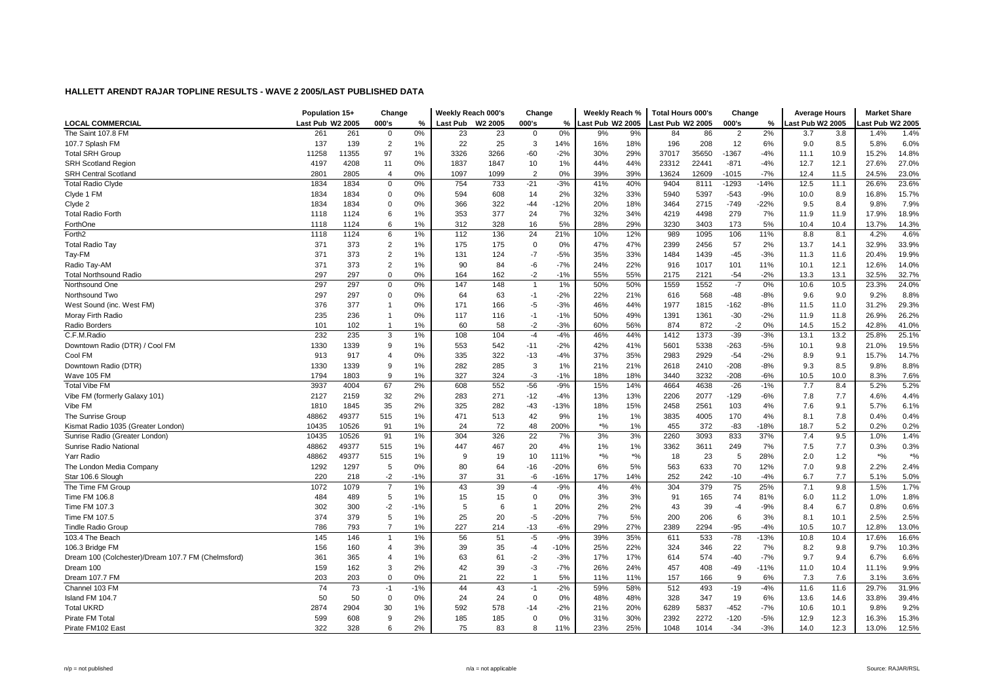|                                                    | Population 15+   |       | Change         |       | Weekly Reach 000's |         | Change         |        | Weekly Reach %   |         | <b>Total Hours 000's</b> |       | Change         |        | <b>Average Hours</b> |      | <b>Market Share</b> |       |
|----------------------------------------------------|------------------|-------|----------------|-------|--------------------|---------|----------------|--------|------------------|---------|--------------------------|-------|----------------|--------|----------------------|------|---------------------|-------|
| <b>LOCAL COMMERCIAL</b>                            | Last Pub W2 2005 |       | 000's          | %     | <b>Last Pub</b>    | W2 2005 | 000's          | %      | Last Pub W2 2005 |         | ast Pub W2 2005          |       | 000's          | %      | Last Pub W2 2005     |      | ast Pub W2 2005     |       |
| The Saint 107.8 FM                                 | 261              | 261   | $\mathbf 0$    | 0%    | 23                 | 23      | $\Omega$       | 0%     | 9%               | 9%      | 84                       | 86    | $\overline{2}$ | 2%     | 3.7                  | 3.8  | 1.4%                | 1.4%  |
| 107.7 Splash FM                                    | 137              | 139   | 2              | 1%    | 22                 | 25      | 3              | 14%    | 16%              | 18%     | 196                      | 208   | 12             | 6%     | 9.0                  | 8.5  | 5.8%                | 6.0%  |
| <b>Total SRH Group</b>                             | 11258            | 11355 | 97             | 1%    | 3326               | 3266    | $-60$          | $-2%$  | 30%              | 29%     | 37017                    | 35650 | $-1367$        | $-4%$  | 11.1                 | 10.9 | 15.2%               | 14.8% |
| <b>SRH Scotland Region</b>                         | 4197             | 4208  | 11             | 0%    | 1837               | 1847    | 10             | 1%     | 44%              | 44%     | 23312                    | 22441 | $-871$         | $-4%$  | 12.7                 | 12.1 | 27.6%               | 27.0% |
| <b>SRH Central Scotland</b>                        | 2801             | 2805  | $\overline{4}$ | 0%    | 1097               | 1099    | $\overline{2}$ | 0%     | 39%              | 39%     | 13624                    | 12609 | -1015          | $-7%$  | 12.4                 | 11.5 | 24.5%               | 23.0% |
| <b>Total Radio Clyde</b>                           | 1834             | 1834  | $\mathbf 0$    | 0%    | 754                | 733     | $-21$          | $-3%$  | 41%              | 40%     | 9404                     | 8111  | $-1293$        | $-14%$ | 12.5                 | 11.1 | 26.6%               | 23.6% |
| Clyde 1 FM                                         | 1834             | 1834  | 0              | 0%    | 594                | 608     | 14             | 2%     | 32%              | 33%     | 5940                     | 5397  | $-543$         | $-9%$  | 10.0                 | 8.9  | 16.8%               | 15.7% |
| Clyde 2                                            | 1834             | 1834  | 0              | 0%    | 366                | 322     | $-44$          | $-12%$ | 20%              | 18%     | 3464                     | 2715  | $-749$         | $-22%$ | 9.5                  | 8.4  | 9.8%                | 7.9%  |
| <b>Total Radio Forth</b>                           | 1118             | 1124  | 6              | 1%    | 353                | 377     | 24             | 7%     | 32%              | 34%     | 4219                     | 4498  | 279            | 7%     | 11.9                 | 11.9 | 17.9%               | 18.9% |
| ForthOne                                           | 1118             | 1124  | 6              | 1%    | 312                | 328     | 16             | 5%     | 28%              | 29%     | 3230                     | 3403  | 173            | 5%     | 10.4                 | 10.4 | 13.7%               | 14.3% |
| Forth <sub>2</sub>                                 | 1118             | 1124  | 6              | 1%    | 112                | 136     | 24             | 21%    | 10%              | 12%     | 989                      | 1095  | 106            | 11%    | 8.8                  | 8.1  | 4.2%                | 4.6%  |
| <b>Total Radio Tay</b>                             | 371              | 373   | $\overline{2}$ | 1%    | 175                | 175     | $\overline{0}$ | 0%     | 47%              | 47%     | 2399                     | 2456  | 57             | 2%     | 13.7                 | 14.1 | 32.9%               | 33.9% |
| Tay-FM                                             | 371              | 373   | $\overline{2}$ | 1%    | 131                | 124     | $-7$           | $-5%$  | 35%              | 33%     | 1484                     | 1439  | $-45$          | $-3%$  | 11.3                 | 11.6 | 20.4%               | 19.9% |
| Radio Tay-AM                                       | 371              | 373   | $\overline{2}$ | 1%    | 90                 | 84      | -6             | $-7%$  | 24%              | 22%     | 916                      | 1017  | 101            | 11%    | 10.1                 | 12.1 | 12.6%               | 14.0% |
| <b>Total Northsound Radio</b>                      | 297              | 297   | $\Omega$       | 0%    | 164                | 162     | $-2$           | $-1%$  | 55%              | 55%     | 2175                     | 2121  | $-54$          | $-2%$  | 13.3                 | 13.1 | 32.5%               | 32.7% |
| Northsound One                                     | 297              | 297   | $\mathbf 0$    | 0%    | 147                | 148     |                | 1%     | 50%              | 50%     | 1559                     | 1552  | $-7$           | 0%     | 10.6                 | 10.5 | 23.3%               | 24.0% |
| Northsound Two                                     | 297              | 297   | 0              | 0%    | 64                 | 63      | $-1$           | $-2%$  | 22%              | 21%     | 616                      | 568   | $-48$          | $-8%$  | 9.6                  | 9.0  | 9.2%                | 8.8%  |
| West Sound (inc. West FM)                          | 376              | 377   | $\overline{1}$ | 0%    | 171                | 166     | $-5$           | $-3%$  | 46%              | 44%     | 1977                     | 1815  | $-162$         | $-8%$  | 11.5                 | 11.0 | 31.2%               | 29.3% |
| Moray Firth Radio                                  | 235              | 236   | $\overline{1}$ | 0%    | 117                | 116     | $-1$           | $-1%$  | 50%              | 49%     | 1391                     | 1361  | $-30$          | $-2%$  | 11.9                 | 11.8 | 26.9%               | 26.2% |
| Radio Borders                                      | 101              | 102   | $\overline{1}$ | 1%    | 60                 | 58      | $-2$           | $-3%$  | 60%              | 56%     | 874                      | 872   | $-2$           | 0%     | 14.5                 | 15.2 | 42.8%               | 41.0% |
| C.F.M.Radio                                        | 232              | 235   | 3              | 1%    | 108                | 104     | $-4$           | $-4%$  | 46%              | 44%     | 1412                     | 1373  | $-39$          | $-3%$  | 13.1                 | 13.2 | 25.8%               | 25.1% |
| Downtown Radio (DTR) / Cool FM                     | 1330             | 1339  | 9              | 1%    | 553                | 542     | $-11$          | $-2%$  | 42%              | 41%     | 5601                     | 5338  | $-263$         | $-5%$  | 10.1                 | 9.8  | 21.0%               | 19.5% |
| Cool FM                                            | 913              | 917   | $\overline{4}$ | 0%    | 335                | 322     | $-13$          | $-4%$  | 37%              | 35%     | 2983                     | 2929  | $-54$          | $-2%$  | 8.9                  | 9.1  | 15.7%               | 14.7% |
| Downtown Radio (DTR)                               | 1330             | 1339  | 9              | 1%    | 282                | 285     | 3              | 1%     | 21%              | 21%     | 2618                     | 2410  | $-208$         | $-8%$  | 9.3                  | 8.5  | 9.8%                | 8.8%  |
| Wave 105 FM                                        | 1794             | 1803  | 9              | 1%    | 327                | 324     | -3             | $-1%$  | 18%              | 18%     | 3440                     | 3232  | $-208$         | $-6%$  | 10.5                 | 10.0 | 8.3%                | 7.6%  |
| <b>Total Vibe FM</b>                               | 3937             | 4004  | 67             | 2%    | 608                | 552     | $-56$          | $-9%$  | 15%              | 14%     | 4664                     | 4638  | $-26$          | $-1%$  | 7.7                  | 8.4  | 5.2%                | 5.2%  |
| Vibe FM (formerly Galaxy 101)                      | 2127             | 2159  | 32             | 2%    | 283                | 271     | $-12$          | $-4%$  | 13%              | 13%     | 2206                     | 2077  | $-129$         | $-6%$  | 7.8                  | 7.7  | 4.6%                | 4.4%  |
| Vibe FM                                            | 1810             | 1845  | 35             | 2%    | 325                | 282     | $-43$          | $-13%$ | 18%              | 15%     | 2458                     | 2561  | 103            | 4%     | 7.6                  | 9.1  | 5.7%                | 6.1%  |
| The Sunrise Group                                  | 48862            | 49377 | 515            | 1%    | 471                | 513     | 42             | 9%     | 1%               | 1%      | 3835                     | 4005  | 170            | 4%     | 8.1                  | 7.8  | 0.4%                | 0.4%  |
| Kismat Radio 1035 (Greater London)                 | 10435            | 10526 | 91             | 1%    | 24                 | 72      | 48             | 200%   | $*9/6$           | 1%      | 455                      | 372   | $-83$          | $-18%$ | 18.7                 | 5.2  | 0.2%                | 0.2%  |
| Sunrise Radio (Greater London)                     | 10435            | 10526 | 91             | 1%    | 304                | 326     | 22             | 7%     | 3%               | 3%      | 2260                     | 3093  | 833            | 37%    | 7.4                  | 9.5  | 1.0%                | 1.4%  |
| Sunrise Radio National                             | 48862            | 49377 | 515            | 1%    | 447                | 467     | 20             | 4%     | 1%               | 1%      | 3362                     | 3611  | 249            | 7%     | 7.5                  | 7.7  | 0.3%                | 0.3%  |
| Yarr Radio                                         | 48862            | 49377 | 515            | 1%    | 9                  | 19      | 10             | 111%   | $*$ %            | $*o/_0$ | 18                       | 23    | 5              | 28%    | 2.0                  | 1.2  | $*9/6$              | $*$ % |
| The London Media Company                           | 1292             | 1297  | 5              | 0%    | 80                 | 64      | $-16$          | $-20%$ | 6%               | 5%      | 563                      | 633   | 70             | 12%    | 7.0                  | 9.8  | 2.2%                | 2.4%  |
| Star 106.6 Slough                                  | 220              | 218   | $-2$           | $-1%$ | 37                 | 31      | -6             | $-16%$ | 17%              | 14%     | 252                      | 242   | $-10$          | $-4%$  | 6.7                  | 7.7  | 5.1%                | 5.0%  |
| The Time FM Group                                  | 1072             | 1079  | $\overline{7}$ | 1%    | 43                 | 39      | $-4$           | $-9%$  | 4%               | 4%      | 304                      | 379   | 75             | 25%    | 7.1                  | 9.8  | 1.5%                | 1.7%  |
| Time FM 106.8                                      | 484              | 489   | 5              | 1%    | 15                 | 15      | $\Omega$       | 0%     | 3%               | 3%      | 91                       | 165   | 74             | 81%    | 6.0                  | 11.2 | 1.0%                | 1.8%  |
| Time FM 107.3                                      | 302              | 300   | $-2$           | $-1%$ | 5                  | 6       | $\overline{1}$ | 20%    | 2%               | 2%      | 43                       | 39    | $-4$           | $-9%$  | 8.4                  | 6.7  | 0.8%                | 0.6%  |
| Time FM 107.5                                      | 374              | 379   | 5              | 1%    | 25                 | 20      | $-5$           | $-20%$ | 7%               | 5%      | 200                      | 206   | 6              | 3%     | 8.1                  | 10.1 | 2.5%                | 2.5%  |
| <b>Tindle Radio Group</b>                          | 786              | 793   | $\overline{7}$ | 1%    | 227                | 214     | $-13$          | $-6%$  | 29%              | 27%     | 2389                     | 2294  | $-95$          | $-4%$  | 10.5                 | 10.7 | 12.8%               | 13.0% |
| 103.4 The Beach                                    | 145              | 146   | $\overline{1}$ | 1%    | 56                 | 51      | $-5$           | $-9%$  | 39%              | 35%     | 611                      | 533   | $-78$          | $-13%$ | 10.8                 | 10.4 | 17.6%               | 16.6% |
| 106.3 Bridge FM                                    | 156              | 160   | $\overline{4}$ | 3%    | 39                 | 35      | $-4$           | $-10%$ | 25%              | 22%     | 324                      | 346   | 22             | 7%     | 8.2                  | 9.8  | 9.7%                | 10.3% |
| Dream 100 (Colchester)/Dream 107.7 FM (Chelmsford) | 361              | 365   | 4              | 1%    | 63                 | 61      | $-2$           | $-3%$  | 17%              | 17%     | 614                      | 574   | $-40$          | $-7%$  | 9.7                  | 9.4  | 6.7%                | 6.6%  |
| Dream 100                                          | 159              | 162   | 3              | 2%    | 42                 | 39      | -3             | $-7%$  | 26%              | 24%     | 457                      | 408   | $-49$          | $-11%$ | 11.0                 | 10.4 | 11.1%               | 9.9%  |
| Dream 107.7 FM                                     | 203              | 203   | $\mathbf 0$    | 0%    | 21                 | 22      | $\overline{1}$ | 5%     | 11%              | 11%     | 157                      | 166   | 9              | 6%     | 7.3                  | 7.6  | 3.1%                | 3.6%  |
| Channel 103 FM                                     | 74               | 73    | $-1$           | $-1%$ | 44                 | 43      | $-1$           | $-2%$  | 59%              | 58%     | 512                      | 493   | $-19$          | $-4%$  | 11.6                 | 11.6 | 29.7%               | 31.9% |
| Island FM 104.7                                    | 50               | 50    | 0              | 0%    | 24                 | 24      | $\mathbf 0$    | 0%     | 48%              | 48%     | 328                      | 347   | 19             | 6%     | 13.6                 | 14.6 | 33.8%               | 39.4% |
| <b>Total UKRD</b>                                  | 2874             | 2904  | 30             | 1%    | 592                | 578     | $-14$          | $-2%$  | 21%              | 20%     | 6289                     | 5837  | $-452$         | $-7%$  | 10.6                 | 10.1 | 9.8%                | 9.2%  |
| Pirate FM Tota                                     | 599              | 608   | 9              | 2%    | 185                | 185     | $\Omega$       | 0%     | 31%              | 30%     | 2392                     | 2272  | $-120$         | $-5%$  | 12.9                 | 12.3 | 16.3%               | 15.3% |
| Pirate FM102 East                                  | 322              | 328   | 6              | 2%    | 75                 | 83      | 8              | 11%    | 23%              | 25%     | 1048                     | 1014  | $-34$          | $-3%$  | 14.0                 | 12.3 | 13.0%               | 12.5% |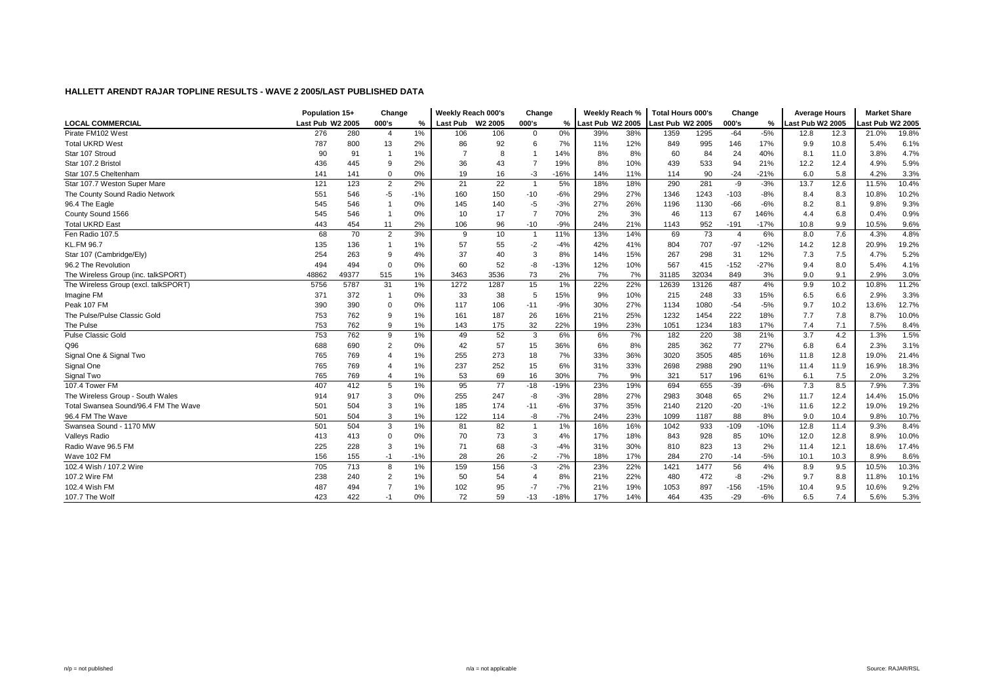|                                      |                  | Population 15+ |                | Change | Weekly Reach 000's |                     | Change                  |        | Weekly Reach %   |     | <b>Total Hours 000's</b> |       | Change |        | <b>Average Hours</b> |      | <b>Market Share</b> |       |
|--------------------------------------|------------------|----------------|----------------|--------|--------------------|---------------------|-------------------------|--------|------------------|-----|--------------------------|-------|--------|--------|----------------------|------|---------------------|-------|
| <b>LOCAL COMMERCIAL</b>              | Last Pub W2 2005 |                | 000's          | %      | Last Pub           | W <sub>2</sub> 2005 | 000's                   | %      | Last Pub W2 2005 |     | ast Pub W2 2005          |       | 000's  | %      | Last Pub W2 2005     |      | ast Pub W2 2005     |       |
| Pirate FM102 West                    | 276              | 280            | $\overline{4}$ | 1%     | 106                | 106                 | $\Omega$                | 0%     | 39%              | 38% | 1359                     | 1295  | $-64$  | $-5%$  | 12.8                 | 12.3 | 21.0%               | 19.8% |
| <b>Total UKRD West</b>               | 787              | 800            | 13             | 2%     | 86                 | 92                  | 6                       | 7%     | 11%              | 12% | 849                      | 995   | 146    | 17%    | 9.9                  | 10.8 | 5.4%                | 6.1%  |
| Star 107 Stroud                      | 90               | 91             | $\mathbf 1$    | 1%     |                    | 8                   |                         | 14%    | 8%               | 8%  | 60                       | 84    | 24     | 40%    | 8.1                  | 11.0 | 3.8%                | 4.7%  |
| Star 107.2 Bristol                   | 436              | 445            | 9              | 2%     | 36                 | 43                  |                         | 19%    | 8%               | 10% | 439                      | 533   | 94     | 21%    | 12.2                 | 12.4 | 4.9%                | 5.9%  |
| Star 107.5 Cheltenham                | 141              | 141            | $\mathbf 0$    | 0%     | 19                 | 16                  | -3                      | $-16%$ | 14%              | 11% | 114                      | 90    | $-24$  | $-21%$ | 6.0                  | 5.8  | 4.2%                | 3.3%  |
| Star 107.7 Weston Super Mare         | 121              | 123            | $\overline{2}$ | 2%     | 21                 | 22                  | $\overline{1}$          | 5%     | 18%              | 18% | 290                      | 281   | -9     | $-3%$  | 13.7                 | 12.6 | 11.5%               | 10.4% |
| The County Sound Radio Network       | 551              | 546            | $-5$           | $-1%$  | 160                | 150                 | $-10$                   | $-6%$  | 29%              | 27% | 1346                     | 1243  | $-103$ | $-8%$  | 8.4                  | 8.3  | 10.8%               | 10.2% |
| 96.4 The Eagle                       | 545              | 546            | $\mathbf 1$    | 0%     | 145                | 140                 | -5                      | $-3%$  | 27%              | 26% | 1196                     | 1130  | $-66$  | $-6%$  | 8.2                  | 8.1  | 9.8%                | 9.3%  |
| County Sound 1566                    | 545              | 546            | $\overline{1}$ | 0%     | 10                 | 17                  |                         | 70%    | 2%               | 3%  | 46                       | 113   | 67     | 146%   | 4.4                  | 6.8  | 0.4%                | 0.9%  |
| <b>Total UKRD East</b>               | 443              | 454            | 11             | 2%     | 106                | 96                  | $-10$                   | $-9%$  | 24%              | 21% | 1143                     | 952   | $-191$ | $-17%$ | 10.8                 | 9.9  | 10.5%               | 9.6%  |
| Fen Radio 107.5                      | 68               | 70             | $\overline{2}$ | 3%     | 9                  | 10                  | $\overline{1}$          | 11%    | 13%              | 14% | 69                       | 73    |        | 6%     | 8.0                  | 7.6  | 4.3%                | 4.8%  |
| <b>KL.FM 96.7</b>                    | 135              | 136            | $\overline{1}$ | 1%     | 57                 | 55                  | $-2$                    | $-4%$  | 42%              | 41% | 804                      | 707   | $-97$  | $-12%$ | 14.2                 | 12.8 | 20.9%               | 19.2% |
| Star 107 (Cambridge/Ely)             | 254              | 263            | 9              | 4%     | 37                 | 40                  | 3                       | 8%     | 14%              | 15% | 267                      | 298   | 31     | 12%    | 7.3                  | 7.5  | 4.7%                | 5.2%  |
| 96.2 The Revolution                  | 494              | 494            | $\mathbf 0$    | 0%     | 60                 | 52                  | -8                      | $-13%$ | 12%              | 10% | 567                      | 415   | $-152$ | $-27%$ | 9.4                  | 8.0  | 5.4%                | 4.1%  |
| The Wireless Group (inc. talkSPORT)  | 48862            | 49377          | 515            | 1%     | 3463               | 3536                | 73                      | 2%     | 7%               | 7%  | 31185                    | 32034 | 849    | 3%     | 9.0                  | 9.1  | 2.9%                | 3.0%  |
| The Wireless Group (excl. talkSPORT) | 5756             | 5787           | 31             | 1%     | 1272               | 1287                | 15                      | 1%     | 22%              | 22% | 12639                    | 13126 | 487    | 4%     | 9.9                  | 10.2 | 10.8%               | 11.2% |
| Imagine FM                           | 371              | 372            | -1             | 0%     | 33                 | 38                  | 5                       | 15%    | 9%               | 10% | 215                      | 248   | 33     | 15%    | 6.5                  | 6.6  | 2.9%                | 3.3%  |
| Peak 107 FM                          | 390              | 390            | $\mathbf 0$    | 0%     | 117                | 106                 | $-11$                   | $-9%$  | 30%              | 27% | 1134                     | 1080  | $-54$  | $-5%$  | 9.7                  | 10.2 | 13.6%               | 12.7% |
| The Pulse/Pulse Classic Gold         | 753              | 762            | 9              | 1%     | 161                | 187                 | 26                      | 16%    | 21%              | 25% | 1232                     | 1454  | 222    | 18%    | 7.7                  | 7.8  | 8.7%                | 10.0% |
| The Pulse                            | 753              | 762            | 9              | 1%     | 143                | 175                 | 32                      | 22%    | 19%              | 23% | 1051                     | 1234  | 183    | 17%    | 7.4                  | 7.1  | 7.5%                | 8.4%  |
| Pulse Classic Gold                   | 753              | 762            | 9              | 1%     | 49                 | 52                  | 3                       | 6%     | 6%               | 7%  | 182                      | 220   | 38     | 21%    | 3.7                  | 4.2  | 1.3%                | 1.5%  |
| Q96                                  | 688              | 690            | $\overline{2}$ | 0%     | 42                 | 57                  | 15                      | 36%    | 6%               | 8%  | 285                      | 362   | 77     | 27%    | 6.8                  | 6.4  | 2.3%                | 3.1%  |
| Signal One & Signal Two              | 765              | 769            | $\overline{4}$ | 1%     | 255                | 273                 | 18                      | 7%     | 33%              | 36% | 3020                     | 3505  | 485    | 16%    | 11.8                 | 12.8 | 19.0%               | 21.4% |
| Signal One                           | 765              | 769            | $\overline{4}$ | 1%     | 237                | 252                 | 15                      | 6%     | 31%              | 33% | 2698                     | 2988  | 290    | 11%    | 11.4                 | 11.9 | 16.9%               | 18.3% |
| Signal Two                           | 765              | 769            | $\overline{4}$ | 1%     | 53                 | 69                  | 16                      | 30%    | 7%               | 9%  | 321                      | 517   | 196    | 61%    | 6.1                  | 7.5  | 2.0%                | 3.2%  |
| 107.4 Tower FM                       | 407              | 412            | 5              | 1%     | 95                 | 77                  | $-18$                   | $-19%$ | 23%              | 19% | 694                      | 655   | $-39$  | $-6%$  | 7.3                  | 8.5  | 7.9%                | 7.3%  |
| The Wireless Group - South Wales     | 914              | 917            | 3              | 0%     | 255                | 247                 | -8                      | $-3%$  | 28%              | 27% | 2983                     | 3048  | 65     | 2%     | 11.7                 | 12.4 | 14.4%               | 15.0% |
| Total Swansea Sound/96.4 FM The Wave | 501              | 504            | 3              | 1%     | 185                | 174                 | $-11$                   | $-6%$  | 37%              | 35% | 2140                     | 2120  | $-20$  | $-1%$  | 11.6                 | 12.2 | 19.0%               | 19.2% |
| 96.4 FM The Wave                     | 501              | 504            | 3              | 1%     | 122                | 114                 | -8                      | $-7%$  | 24%              | 23% | 1099                     | 1187  | 88     | 8%     | 9.0                  | 10.4 | 9.8%                | 10.7% |
| Swansea Sound - 1170 MW              | 501              | 504            | 3              | 1%     | 81                 | 82                  | $\overline{1}$          | 1%     | 16%              | 16% | 1042                     | 933   | $-109$ | $-10%$ | 12.8                 | 11.4 | 9.3%                | 8.4%  |
| <b>Valleys Radio</b>                 | 413              | 413            | 0              | 0%     | 70                 | 73                  | 3                       | 4%     | 17%              | 18% | 843                      | 928   | 85     | 10%    | 12.0                 | 12.8 | 8.9%                | 10.0% |
| Radio Wave 96.5 FM                   | 225              | 228            | 3              | 1%     | 71                 | 68                  | -3                      | $-4%$  | 31%              | 30% | 810                      | 823   | 13     | 2%     | 11.4                 | 12.1 | 18.6%               | 17.4% |
| Wave 102 FM                          | 156              | 155            | $-1$           | $-1%$  | 28                 | 26                  | $-2$                    | $-7%$  | 18%              | 17% | 284                      | 270   | $-14$  | $-5%$  | 10.1                 | 10.3 | 8.9%                | 8.6%  |
| 102.4 Wish / 107.2 Wire              | 705              | 713            | 8              | 1%     | 159                | 156                 | -3                      | $-2%$  | 23%              | 22% | 1421                     | 1477  | 56     | 4%     | 8.9                  | 9.5  | 10.5%               | 10.3% |
| 107.2 Wire FM                        | 238              | 240            | 2              | 1%     | 50                 | 54                  | $\overline{\mathbf{4}}$ | 8%     | 21%              | 22% | 480                      | 472   | -8     | $-2%$  | 9.7                  | 8.8  | 11.8%               | 10.1% |
| 102.4 Wish FM                        | 487              | 494            | $\overline{7}$ | 1%     | 102                | 95                  | $-7$                    | $-7%$  | 21%              | 19% | 1053                     | 897   | $-156$ | $-15%$ | 10.4                 | 9.5  | 10.6%               | 9.2%  |
| 107.7 The Wolf                       | 423              | 422            | $-1$           | 0%     | 72                 | 59                  | $-13$                   | $-18%$ | 17%              | 14% | 464                      | 435   | $-29$  | $-6%$  | 6.5                  | 7.4  | 5.6%                | 5.3%  |